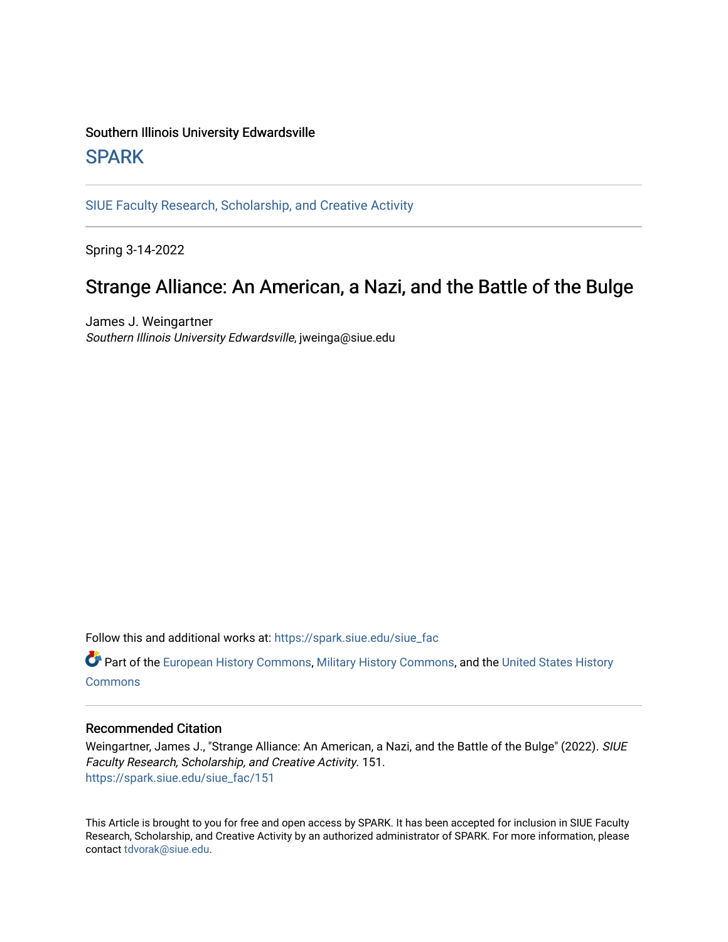## Southern Illinois University Edwardsville **SPARK**

[SIUE Faculty Research, Scholarship, and Creative Activity](https://spark.siue.edu/siue_fac) 

Spring 3-14-2022

## Strange Alliance: An American, a Nazi, and the Battle of the Bulge

James J. Weingartner Southern Illinois University Edwardsville, jweinga@siue.edu

Follow this and additional works at: [https://spark.siue.edu/siue\\_fac](https://spark.siue.edu/siue_fac?utm_source=spark.siue.edu%2Fsiue_fac%2F151&utm_medium=PDF&utm_campaign=PDFCoverPages)

**C** Part of the [European History Commons](http://network.bepress.com/hgg/discipline/492?utm_source=spark.siue.edu%2Fsiue_fac%2F151&utm_medium=PDF&utm_campaign=PDFCoverPages), [Military History Commons](http://network.bepress.com/hgg/discipline/504?utm_source=spark.siue.edu%2Fsiue_fac%2F151&utm_medium=PDF&utm_campaign=PDFCoverPages), and the [United States History](http://network.bepress.com/hgg/discipline/495?utm_source=spark.siue.edu%2Fsiue_fac%2F151&utm_medium=PDF&utm_campaign=PDFCoverPages) **[Commons](http://network.bepress.com/hgg/discipline/495?utm_source=spark.siue.edu%2Fsiue_fac%2F151&utm_medium=PDF&utm_campaign=PDFCoverPages)** 

## Recommended Citation

Weingartner, James J., "Strange Alliance: An American, a Nazi, and the Battle of the Bulge" (2022). SIUE Faculty Research, Scholarship, and Creative Activity. 151. [https://spark.siue.edu/siue\\_fac/151](https://spark.siue.edu/siue_fac/151?utm_source=spark.siue.edu%2Fsiue_fac%2F151&utm_medium=PDF&utm_campaign=PDFCoverPages)

This Article is brought to you for free and open access by SPARK. It has been accepted for inclusion in SIUE Faculty Research, Scholarship, and Creative Activity by an authorized administrator of SPARK. For more information, please contact [tdvorak@siue.edu](mailto:tdvorak@siue.edu).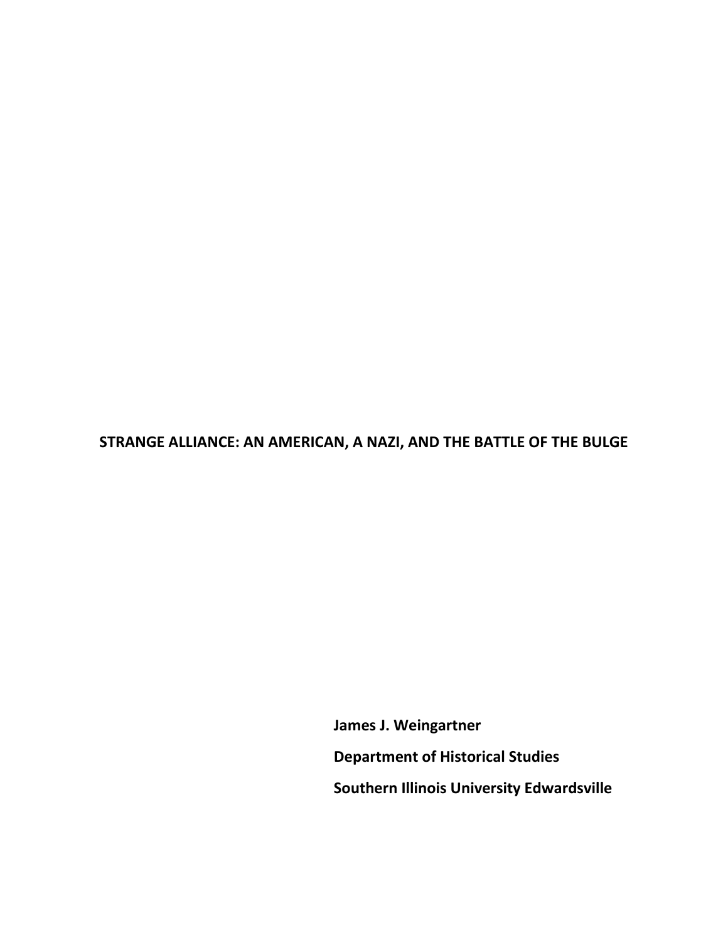**STRANGE ALLIANCE: AN AMERICAN, A NAZI, AND THE BATTLE OF THE BULGE**

 **James J. Weingartner Department of Historical Studies Southern Illinois University Edwardsville**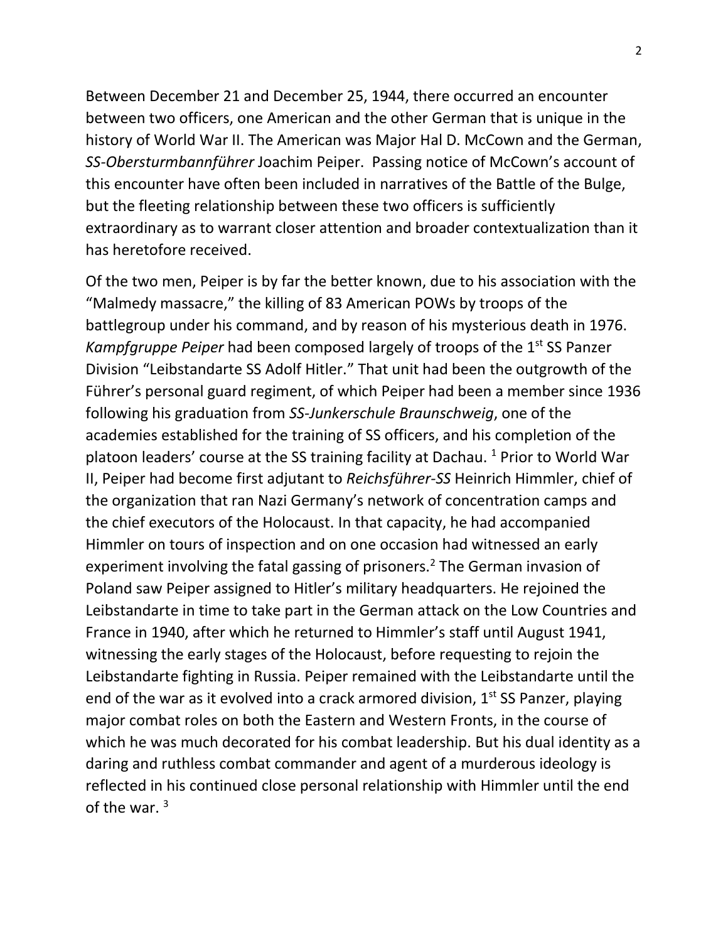Between December 21 and December 25, 1944, there occurred an encounter between two officers, one American and the other German that is unique in the history of World War II. The American was Major Hal D. McCown and the German, *SS-Obersturmbannführer* Joachim Peiper. Passing notice of McCown's account of this encounter have often been included in narratives of the Battle of the Bulge, but the fleeting relationship between these two officers is sufficiently extraordinary as to warrant closer attention and broader contextualization than it has heretofore received.

Of the two men, Peiper is by far the better known, due to his association with the "Malmedy massacre," the killing of 83 American POWs by troops of the battlegroup under his command, and by reason of his mysterious death in 1976. *Kampfgruppe Peiper* had been composed largely of troops of the 1st SS Panzer Division "Leibstandarte SS Adolf Hitler." That unit had been the outgrowth of the Führer's personal guard regiment, of which Peiper had been a member since 1936 following his graduation from *SS-Junkerschule Braunschweig*, one of the academies established for the training of SS officers, and his completion of the platoon leaders' course at the SS training facility at Dachau.<sup>1</sup> Prior to World War II, Peiper had become first adjutant to *Reichsführer-SS* Heinrich Himmler, chief of the organization that ran Nazi Germany's network of concentration camps and the chief executors of the Holocaust. In that capacity, he had accompanied Himmler on tours of inspection and on one occasion had witnessed an early experiment involving the fatal gassing of prisoners.<sup>2</sup> The German invasion of Poland saw Peiper assigned to Hitler's military headquarters. He rejoined the Leibstandarte in time to take part in the German attack on the Low Countries and France in 1940, after which he returned to Himmler's staff until August 1941, witnessing the early stages of the Holocaust, before requesting to rejoin the Leibstandarte fighting in Russia. Peiper remained with the Leibstandarte until the end of the war as it evolved into a crack armored division,  $1<sup>st</sup>$  SS Panzer, playing major combat roles on both the Eastern and Western Fronts, in the course of which he was much decorated for his combat leadership. But his dual identity as a daring and ruthless combat commander and agent of a murderous ideology is reflected in his continued close personal relationship with Himmler until the end of the war $3$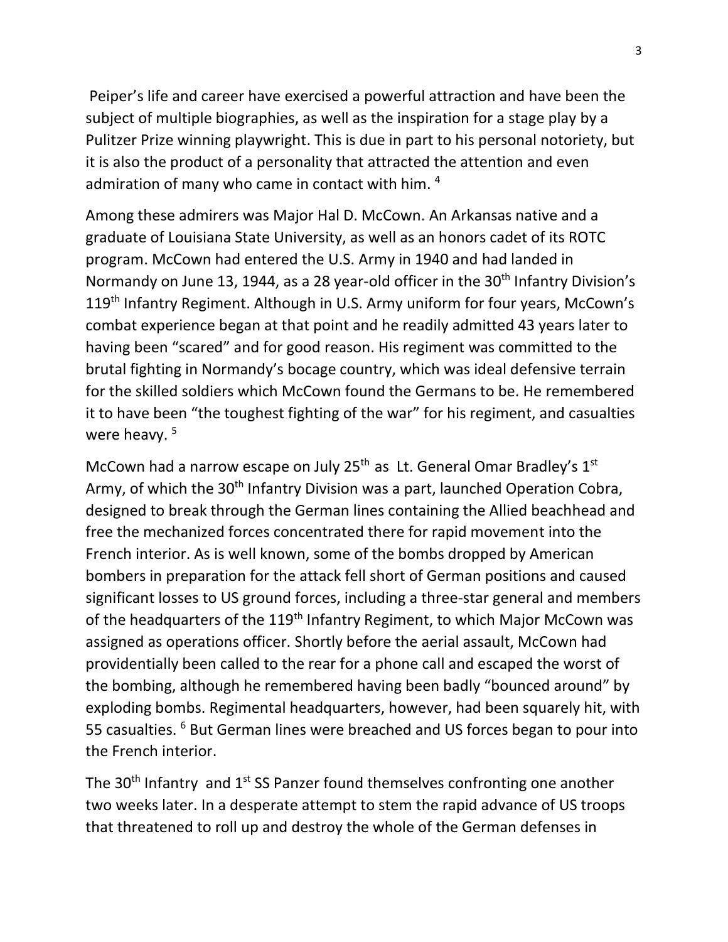Peiper's life and career have exercised a powerful attraction and have been the subject of multiple biographies, as well as the inspiration for a stage play by a Pulitzer Prize winning playwright. This is due in part to his personal notoriety, but it is also the product of a personality that attracted the attention and even admiration of many who came in contact with him. <sup>4</sup>

Among these admirers was Major Hal D. McCown. An Arkansas native and a graduate of Louisiana State University, as well as an honors cadet of its ROTC program. McCown had entered the U.S. Army in 1940 and had landed in Normandy on June 13, 1944, as a 28 year-old officer in the 30<sup>th</sup> Infantry Division's 119<sup>th</sup> Infantry Regiment. Although in U.S. Army uniform for four years, McCown's combat experience began at that point and he readily admitted 43 years later to having been "scared" and for good reason. His regiment was committed to the brutal fighting in Normandy's bocage country, which was ideal defensive terrain for the skilled soldiers which McCown found the Germans to be. He remembered it to have been "the toughest fighting of the war" for his regiment, and casualties were heavy.<sup>5</sup>

McCown had a narrow escape on July 25<sup>th</sup> as Lt. General Omar Bradley's 1<sup>st</sup> Army, of which the  $30<sup>th</sup>$  Infantry Division was a part, launched Operation Cobra, designed to break through the German lines containing the Allied beachhead and free the mechanized forces concentrated there for rapid movement into the French interior. As is well known, some of the bombs dropped by American bombers in preparation for the attack fell short of German positions and caused significant losses to US ground forces, including a three-star general and members of the headquarters of the 119<sup>th</sup> Infantry Regiment, to which Major McCown was assigned as operations officer. Shortly before the aerial assault, McCown had providentially been called to the rear for a phone call and escaped the worst of the bombing, although he remembered having been badly "bounced around" by exploding bombs. Regimental headquarters, however, had been squarely hit, with 55 casualties. <sup>6</sup> But German lines were breached and US forces began to pour into the French interior.

The 30<sup>th</sup> Infantry and 1<sup>st</sup> SS Panzer found themselves confronting one another two weeks later. In a desperate attempt to stem the rapid advance of US troops that threatened to roll up and destroy the whole of the German defenses in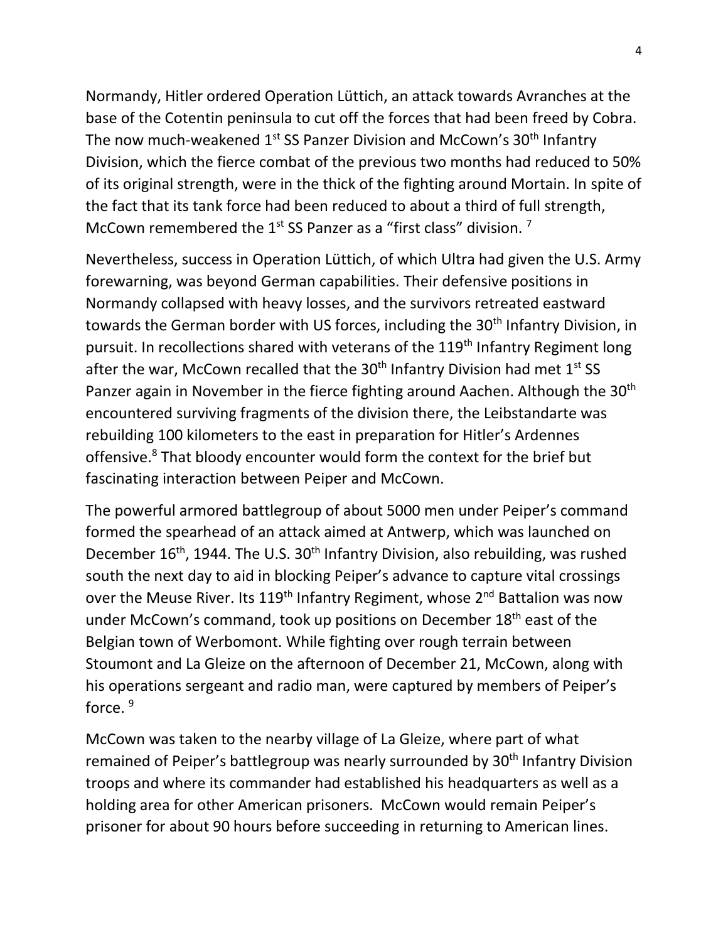Normandy, Hitler ordered Operation Lüttich, an attack towards Avranches at the base of the Cotentin peninsula to cut off the forces that had been freed by Cobra. The now much-weakened 1<sup>st</sup> SS Panzer Division and McCown's 30<sup>th</sup> Infantry Division, which the fierce combat of the previous two months had reduced to 50% of its original strength, were in the thick of the fighting around Mortain. In spite of the fact that its tank force had been reduced to about a third of full strength, McCown remembered the  $1<sup>st</sup>$  SS Panzer as a "first class" division. <sup>7</sup>

Nevertheless, success in Operation Lüttich, of which Ultra had given the U.S. Army forewarning, was beyond German capabilities. Their defensive positions in Normandy collapsed with heavy losses, and the survivors retreated eastward towards the German border with US forces, including the 30<sup>th</sup> Infantry Division, in pursuit. In recollections shared with veterans of the 119<sup>th</sup> Infantry Regiment long after the war, McCown recalled that the  $30<sup>th</sup>$  Infantry Division had met  $1<sup>st</sup>$  SS Panzer again in November in the fierce fighting around Aachen. Although the 30<sup>th</sup> encountered surviving fragments of the division there, the Leibstandarte was rebuilding 100 kilometers to the east in preparation for Hitler's Ardennes offensive.<sup>8</sup> That bloody encounter would form the context for the brief but fascinating interaction between Peiper and McCown.

The powerful armored battlegroup of about 5000 men under Peiper's command formed the spearhead of an attack aimed at Antwerp, which was launched on December  $16<sup>th</sup>$ , 1944. The U.S.  $30<sup>th</sup>$  Infantry Division, also rebuilding, was rushed south the next day to aid in blocking Peiper's advance to capture vital crossings over the Meuse River. Its  $119<sup>th</sup>$  Infantry Regiment, whose  $2<sup>nd</sup>$  Battalion was now under McCown's command, took up positions on December 18<sup>th</sup> east of the Belgian town of Werbomont. While fighting over rough terrain between Stoumont and La Gleize on the afternoon of December 21, McCown, along with his operations sergeant and radio man, were captured by members of Peiper's force.<sup>9</sup>

McCown was taken to the nearby village of La Gleize, where part of what remained of Peiper's battlegroup was nearly surrounded by 30<sup>th</sup> Infantry Division troops and where its commander had established his headquarters as well as a holding area for other American prisoners. McCown would remain Peiper's prisoner for about 90 hours before succeeding in returning to American lines.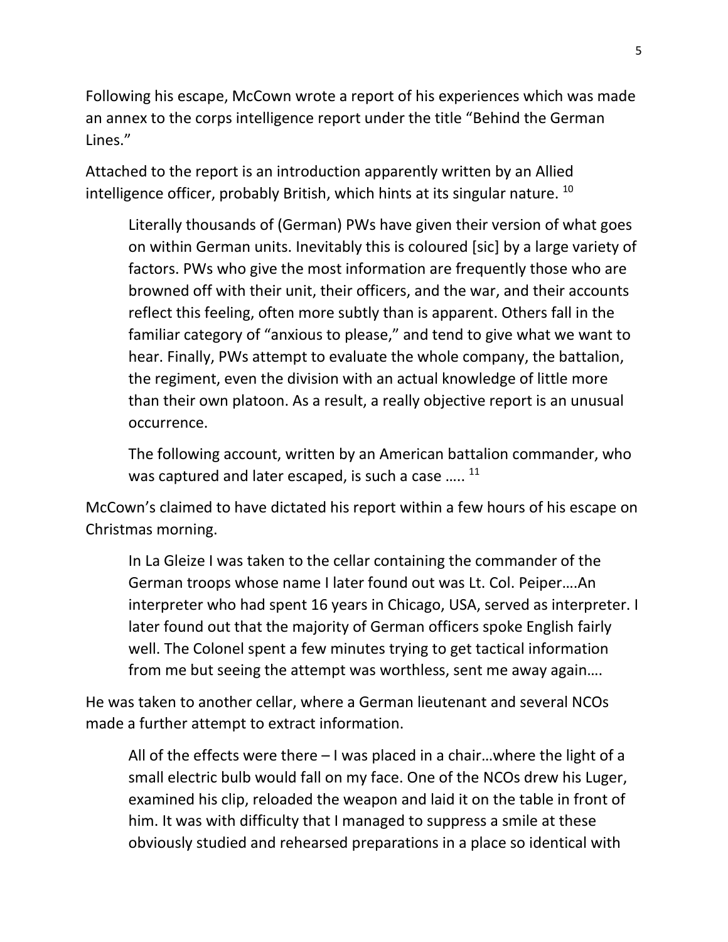Following his escape, McCown wrote a report of his experiences which was made an annex to the corps intelligence report under the title "Behind the German Lines."

Attached to the report is an introduction apparently written by an Allied intelligence officer, probably British, which hints at its singular nature. <sup>10</sup>

Literally thousands of (German) PWs have given their version of what goes on within German units. Inevitably this is coloured [sic] by a large variety of factors. PWs who give the most information are frequently those who are browned off with their unit, their officers, and the war, and their accounts reflect this feeling, often more subtly than is apparent. Others fall in the familiar category of "anxious to please," and tend to give what we want to hear. Finally, PWs attempt to evaluate the whole company, the battalion, the regiment, even the division with an actual knowledge of little more than their own platoon. As a result, a really objective report is an unusual occurrence.

The following account, written by an American battalion commander, who was captured and later escaped, is such a case  $\ldots$ .  $^{11}$ 

McCown's claimed to have dictated his report within a few hours of his escape on Christmas morning.

In La Gleize I was taken to the cellar containing the commander of the German troops whose name I later found out was Lt. Col. Peiper….An interpreter who had spent 16 years in Chicago, USA, served as interpreter. I later found out that the majority of German officers spoke English fairly well. The Colonel spent a few minutes trying to get tactical information from me but seeing the attempt was worthless, sent me away again….

He was taken to another cellar, where a German lieutenant and several NCOs made a further attempt to extract information.

All of the effects were there  $-1$  was placed in a chair...where the light of a small electric bulb would fall on my face. One of the NCOs drew his Luger, examined his clip, reloaded the weapon and laid it on the table in front of him. It was with difficulty that I managed to suppress a smile at these obviously studied and rehearsed preparations in a place so identical with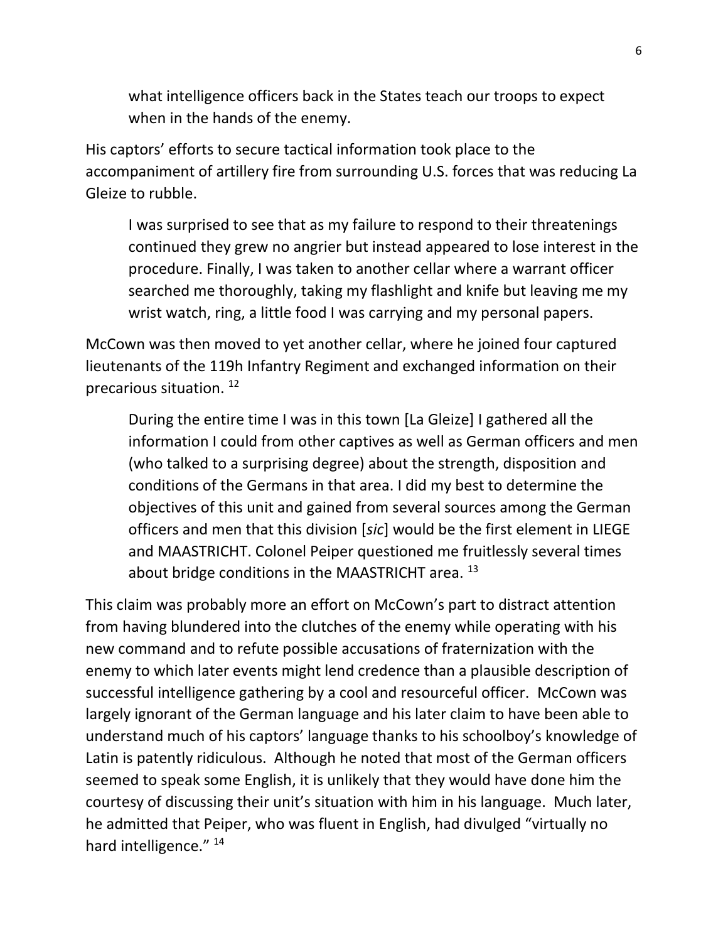what intelligence officers back in the States teach our troops to expect when in the hands of the enemy.

His captors' efforts to secure tactical information took place to the accompaniment of artillery fire from surrounding U.S. forces that was reducing La Gleize to rubble.

I was surprised to see that as my failure to respond to their threatenings continued they grew no angrier but instead appeared to lose interest in the procedure. Finally, I was taken to another cellar where a warrant officer searched me thoroughly, taking my flashlight and knife but leaving me my wrist watch, ring, a little food I was carrying and my personal papers.

McCown was then moved to yet another cellar, where he joined four captured lieutenants of the 119h Infantry Regiment and exchanged information on their precarious situation.<sup>12</sup>

During the entire time I was in this town [La Gleize] I gathered all the information I could from other captives as well as German officers and men (who talked to a surprising degree) about the strength, disposition and conditions of the Germans in that area. I did my best to determine the objectives of this unit and gained from several sources among the German officers and men that this division [*sic*] would be the first element in LIEGE and MAASTRICHT. Colonel Peiper questioned me fruitlessly several times about bridge conditions in the MAASTRICHT area.<sup>13</sup>

This claim was probably more an effort on McCown's part to distract attention from having blundered into the clutches of the enemy while operating with his new command and to refute possible accusations of fraternization with the enemy to which later events might lend credence than a plausible description of successful intelligence gathering by a cool and resourceful officer. McCown was largely ignorant of the German language and his later claim to have been able to understand much of his captors' language thanks to his schoolboy's knowledge of Latin is patently ridiculous. Although he noted that most of the German officers seemed to speak some English, it is unlikely that they would have done him the courtesy of discussing their unit's situation with him in his language. Much later, he admitted that Peiper, who was fluent in English, had divulged "virtually no hard intelligence."<sup>14</sup>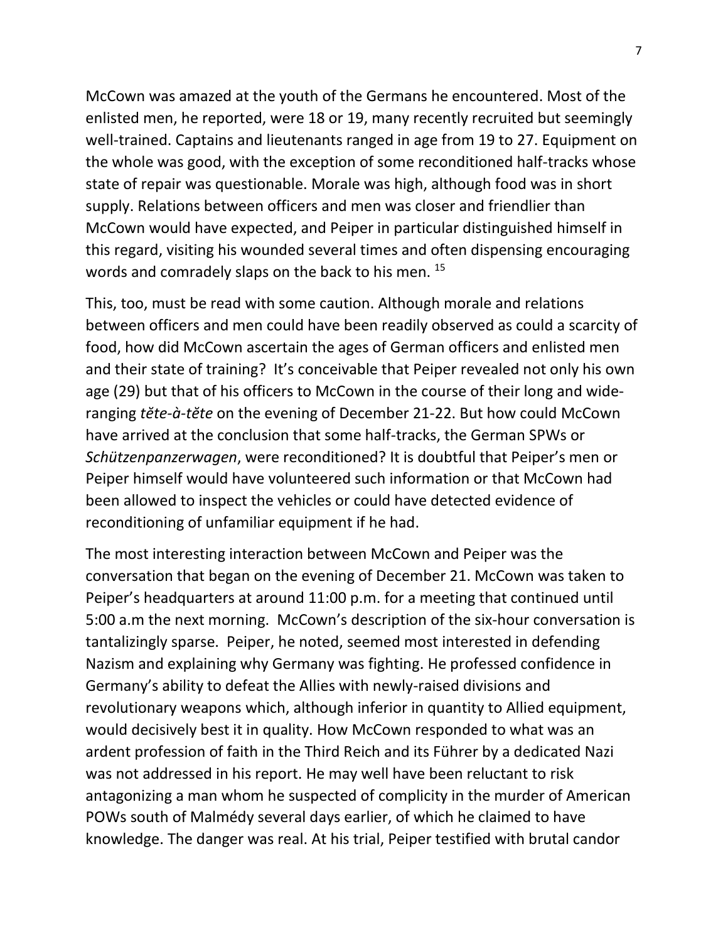McCown was amazed at the youth of the Germans he encountered. Most of the enlisted men, he reported, were 18 or 19, many recently recruited but seemingly well-trained. Captains and lieutenants ranged in age from 19 to 27. Equipment on the whole was good, with the exception of some reconditioned half-tracks whose state of repair was questionable. Morale was high, although food was in short supply. Relations between officers and men was closer and friendlier than McCown would have expected, and Peiper in particular distinguished himself in this regard, visiting his wounded several times and often dispensing encouraging words and comradely slaps on the back to his men.<sup>15</sup>

This, too, must be read with some caution. Although morale and relations between officers and men could have been readily observed as could a scarcity of food, how did McCown ascertain the ages of German officers and enlisted men and their state of training? It's conceivable that Peiper revealed not only his own age (29) but that of his officers to McCown in the course of their long and wideranging *tĕte-à-tĕte* on the evening of December 21-22. But how could McCown have arrived at the conclusion that some half-tracks, the German SPWs or *Schützenpanzerwagen*, were reconditioned? It is doubtful that Peiper's men or Peiper himself would have volunteered such information or that McCown had been allowed to inspect the vehicles or could have detected evidence of reconditioning of unfamiliar equipment if he had.

The most interesting interaction between McCown and Peiper was the conversation that began on the evening of December 21. McCown was taken to Peiper's headquarters at around 11:00 p.m. for a meeting that continued until 5:00 a.m the next morning. McCown's description of the six-hour conversation is tantalizingly sparse. Peiper, he noted, seemed most interested in defending Nazism and explaining why Germany was fighting. He professed confidence in Germany's ability to defeat the Allies with newly-raised divisions and revolutionary weapons which, although inferior in quantity to Allied equipment, would decisively best it in quality. How McCown responded to what was an ardent profession of faith in the Third Reich and its Führer by a dedicated Nazi was not addressed in his report. He may well have been reluctant to risk antagonizing a man whom he suspected of complicity in the murder of American POWs south of Malmédy several days earlier, of which he claimed to have knowledge. The danger was real. At his trial, Peiper testified with brutal candor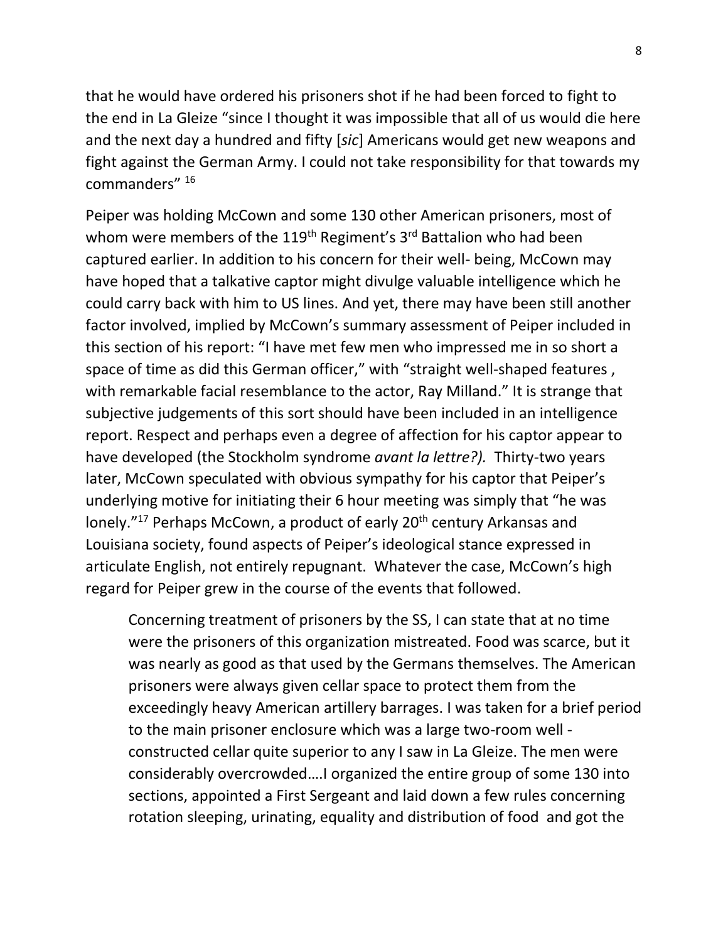that he would have ordered his prisoners shot if he had been forced to fight to the end in La Gleize "since I thought it was impossible that all of us would die here and the next day a hundred and fifty [*sic*] Americans would get new weapons and fight against the German Army. I could not take responsibility for that towards my commanders" <sup>16</sup>

Peiper was holding McCown and some 130 other American prisoners, most of whom were members of the 119<sup>th</sup> Regiment's 3<sup>rd</sup> Battalion who had been captured earlier. In addition to his concern for their well- being, McCown may have hoped that a talkative captor might divulge valuable intelligence which he could carry back with him to US lines. And yet, there may have been still another factor involved, implied by McCown's summary assessment of Peiper included in this section of his report: "I have met few men who impressed me in so short a space of time as did this German officer," with "straight well-shaped features, with remarkable facial resemblance to the actor, Ray Milland." It is strange that subjective judgements of this sort should have been included in an intelligence report. Respect and perhaps even a degree of affection for his captor appear to have developed (the Stockholm syndrome *avant la lettre?).* Thirty-two years later, McCown speculated with obvious sympathy for his captor that Peiper's underlying motive for initiating their 6 hour meeting was simply that "he was lonely."<sup>17</sup> Perhaps McCown, a product of early 20<sup>th</sup> century Arkansas and Louisiana society, found aspects of Peiper's ideological stance expressed in articulate English, not entirely repugnant. Whatever the case, McCown's high regard for Peiper grew in the course of the events that followed.

Concerning treatment of prisoners by the SS, I can state that at no time were the prisoners of this organization mistreated. Food was scarce, but it was nearly as good as that used by the Germans themselves. The American prisoners were always given cellar space to protect them from the exceedingly heavy American artillery barrages. I was taken for a brief period to the main prisoner enclosure which was a large two-room well constructed cellar quite superior to any I saw in La Gleize. The men were considerably overcrowded….I organized the entire group of some 130 into sections, appointed a First Sergeant and laid down a few rules concerning rotation sleeping, urinating, equality and distribution of food and got the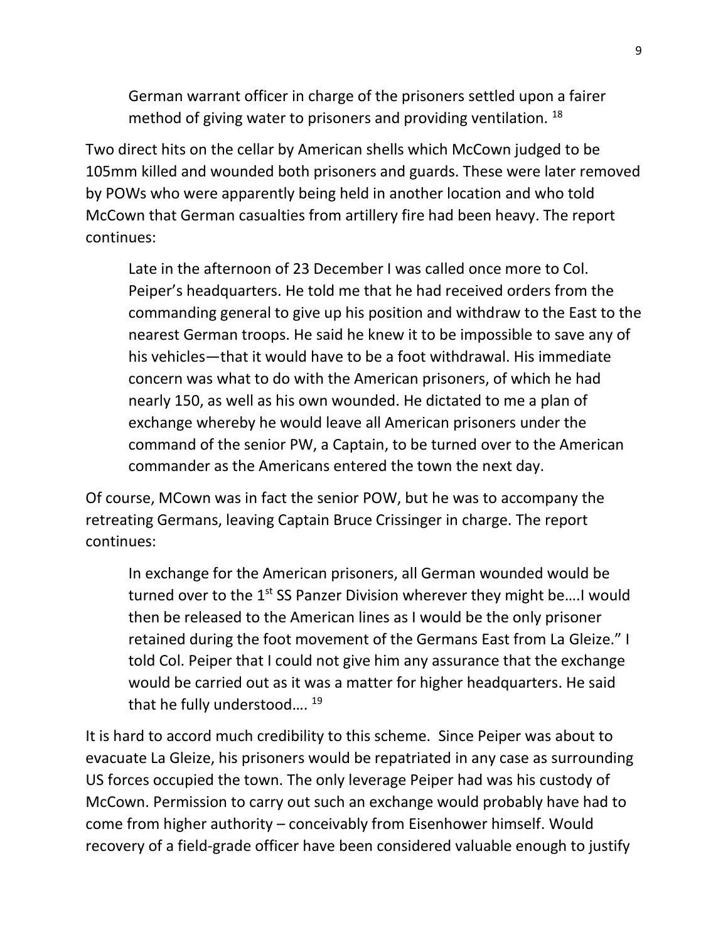German warrant officer in charge of the prisoners settled upon a fairer method of giving water to prisoners and providing ventilation.  $^{18}$ 

Two direct hits on the cellar by American shells which McCown judged to be 105mm killed and wounded both prisoners and guards. These were later removed by POWs who were apparently being held in another location and who told McCown that German casualties from artillery fire had been heavy. The report continues:

Late in the afternoon of 23 December I was called once more to Col. Peiper's headquarters. He told me that he had received orders from the commanding general to give up his position and withdraw to the East to the nearest German troops. He said he knew it to be impossible to save any of his vehicles—that it would have to be a foot withdrawal. His immediate concern was what to do with the American prisoners, of which he had nearly 150, as well as his own wounded. He dictated to me a plan of exchange whereby he would leave all American prisoners under the command of the senior PW, a Captain, to be turned over to the American commander as the Americans entered the town the next day.

Of course, MCown was in fact the senior POW, but he was to accompany the retreating Germans, leaving Captain Bruce Crissinger in charge. The report continues:

In exchange for the American prisoners, all German wounded would be turned over to the 1<sup>st</sup> SS Panzer Division wherever they might be....I would then be released to the American lines as I would be the only prisoner retained during the foot movement of the Germans East from La Gleize." I told Col. Peiper that I could not give him any assurance that the exchange would be carried out as it was a matter for higher headquarters. He said that he fully understood....<sup>19</sup>

It is hard to accord much credibility to this scheme. Since Peiper was about to evacuate La Gleize, his prisoners would be repatriated in any case as surrounding US forces occupied the town. The only leverage Peiper had was his custody of McCown. Permission to carry out such an exchange would probably have had to come from higher authority – conceivably from Eisenhower himself. Would recovery of a field-grade officer have been considered valuable enough to justify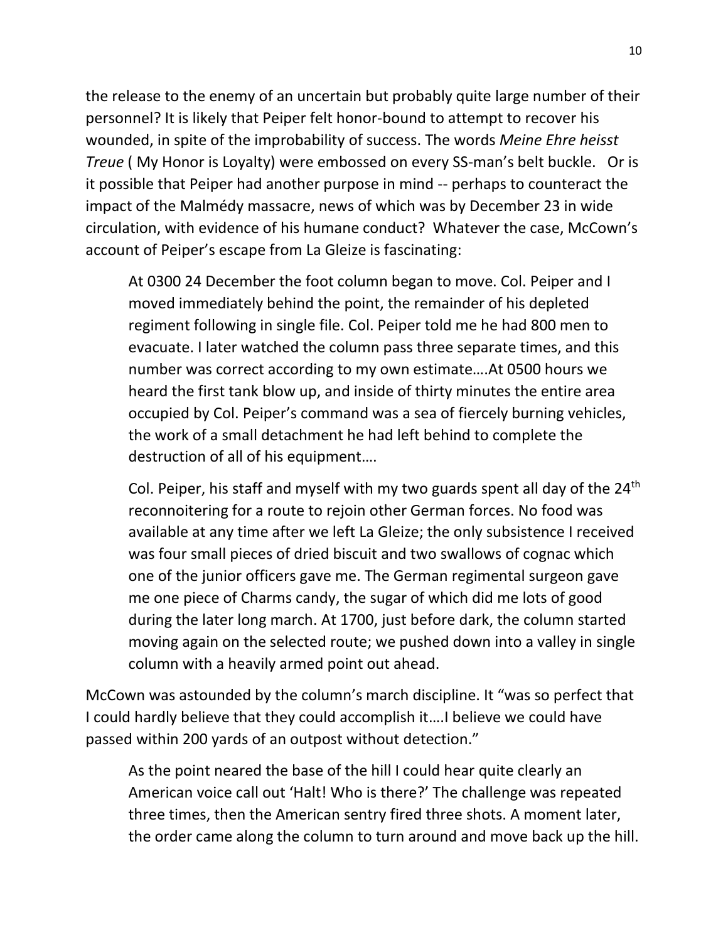the release to the enemy of an uncertain but probably quite large number of their personnel? It is likely that Peiper felt honor-bound to attempt to recover his wounded, in spite of the improbability of success. The words *Meine Ehre heisst Treue* ( My Honor is Loyalty) were embossed on every SS-man's belt buckle. Or is it possible that Peiper had another purpose in mind -- perhaps to counteract the impact of the Malmédy massacre, news of which was by December 23 in wide circulation, with evidence of his humane conduct? Whatever the case, McCown's account of Peiper's escape from La Gleize is fascinating:

At 0300 24 December the foot column began to move. Col. Peiper and I moved immediately behind the point, the remainder of his depleted regiment following in single file. Col. Peiper told me he had 800 men to evacuate. I later watched the column pass three separate times, and this number was correct according to my own estimate….At 0500 hours we heard the first tank blow up, and inside of thirty minutes the entire area occupied by Col. Peiper's command was a sea of fiercely burning vehicles, the work of a small detachment he had left behind to complete the destruction of all of his equipment….

Col. Peiper, his staff and myself with my two guards spent all day of the  $24<sup>th</sup>$ reconnoitering for a route to rejoin other German forces. No food was available at any time after we left La Gleize; the only subsistence I received was four small pieces of dried biscuit and two swallows of cognac which one of the junior officers gave me. The German regimental surgeon gave me one piece of Charms candy, the sugar of which did me lots of good during the later long march. At 1700, just before dark, the column started moving again on the selected route; we pushed down into a valley in single column with a heavily armed point out ahead.

McCown was astounded by the column's march discipline. It "was so perfect that I could hardly believe that they could accomplish it….I believe we could have passed within 200 yards of an outpost without detection."

As the point neared the base of the hill I could hear quite clearly an American voice call out 'Halt! Who is there?' The challenge was repeated three times, then the American sentry fired three shots. A moment later, the order came along the column to turn around and move back up the hill.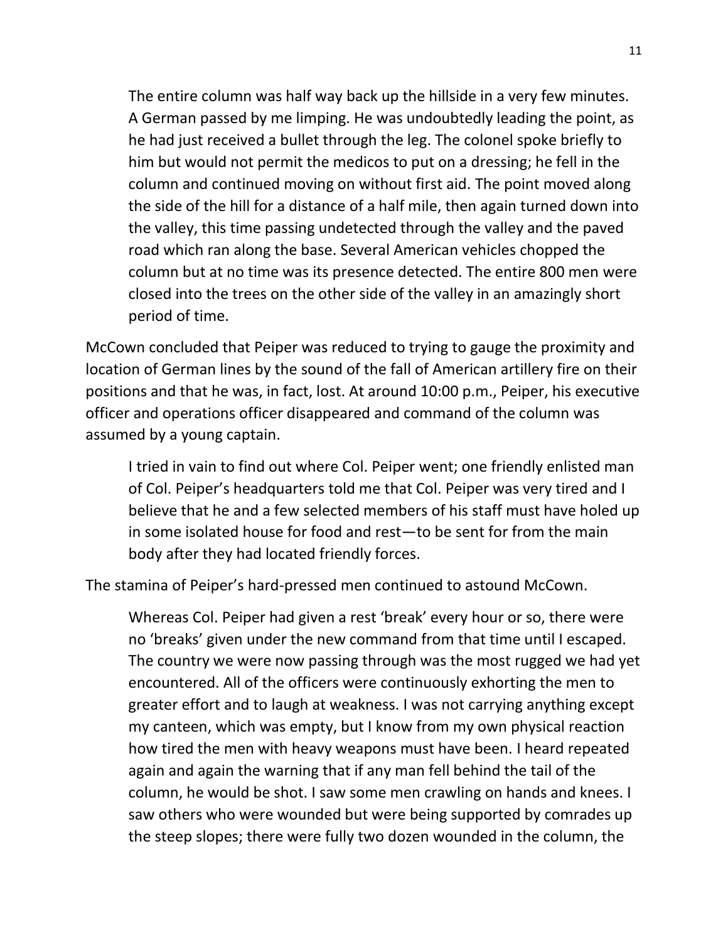The entire column was half way back up the hillside in a very few minutes. A German passed by me limping. He was undoubtedly leading the point, as he had just received a bullet through the leg. The colonel spoke briefly to him but would not permit the medicos to put on a dressing; he fell in the column and continued moving on without first aid. The point moved along the side of the hill for a distance of a half mile, then again turned down into the valley, this time passing undetected through the valley and the paved road which ran along the base. Several American vehicles chopped the column but at no time was its presence detected. The entire 800 men were closed into the trees on the other side of the valley in an amazingly short period of time.

McCown concluded that Peiper was reduced to trying to gauge the proximity and location of German lines by the sound of the fall of American artillery fire on their positions and that he was, in fact, lost. At around 10:00 p.m., Peiper, his executive officer and operations officer disappeared and command of the column was assumed by a young captain.

I tried in vain to find out where Col. Peiper went; one friendly enlisted man of Col. Peiper's headquarters told me that Col. Peiper was very tired and I believe that he and a few selected members of his staff must have holed up in some isolated house for food and rest—to be sent for from the main body after they had located friendly forces.

The stamina of Peiper's hard-pressed men continued to astound McCown.

Whereas Col. Peiper had given a rest 'break' every hour or so, there were no 'breaks' given under the new command from that time until I escaped. The country we were now passing through was the most rugged we had yet encountered. All of the officers were continuously exhorting the men to greater effort and to laugh at weakness. I was not carrying anything except my canteen, which was empty, but I know from my own physical reaction how tired the men with heavy weapons must have been. I heard repeated again and again the warning that if any man fell behind the tail of the column, he would be shot. I saw some men crawling on hands and knees. I saw others who were wounded but were being supported by comrades up the steep slopes; there were fully two dozen wounded in the column, the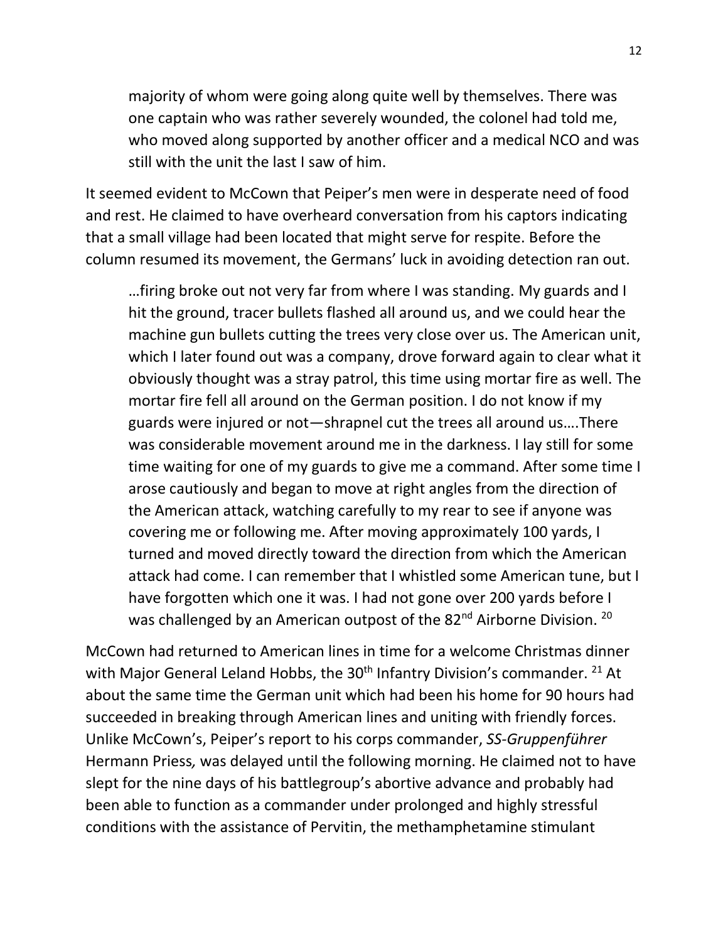majority of whom were going along quite well by themselves. There was one captain who was rather severely wounded, the colonel had told me, who moved along supported by another officer and a medical NCO and was still with the unit the last I saw of him.

It seemed evident to McCown that Peiper's men were in desperate need of food and rest. He claimed to have overheard conversation from his captors indicating that a small village had been located that might serve for respite. Before the column resumed its movement, the Germans' luck in avoiding detection ran out.

…firing broke out not very far from where I was standing. My guards and I hit the ground, tracer bullets flashed all around us, and we could hear the machine gun bullets cutting the trees very close over us. The American unit, which I later found out was a company, drove forward again to clear what it obviously thought was a stray patrol, this time using mortar fire as well. The mortar fire fell all around on the German position. I do not know if my guards were injured or not—shrapnel cut the trees all around us….There was considerable movement around me in the darkness. I lay still for some time waiting for one of my guards to give me a command. After some time I arose cautiously and began to move at right angles from the direction of the American attack, watching carefully to my rear to see if anyone was covering me or following me. After moving approximately 100 yards, I turned and moved directly toward the direction from which the American attack had come. I can remember that I whistled some American tune, but I have forgotten which one it was. I had not gone over 200 yards before I was challenged by an American outpost of the 82<sup>nd</sup> Airborne Division. <sup>20</sup>

McCown had returned to American lines in time for a welcome Christmas dinner with Major General Leland Hobbs, the  $30<sup>th</sup>$  Infantry Division's commander. <sup>21</sup> At about the same time the German unit which had been his home for 90 hours had succeeded in breaking through American lines and uniting with friendly forces. Unlike McCown's, Peiper's report to his corps commander, *SS-Gruppenführer*  Hermann Priess*,* was delayed until the following morning. He claimed not to have slept for the nine days of his battlegroup's abortive advance and probably had been able to function as a commander under prolonged and highly stressful conditions with the assistance of Pervitin, the methamphetamine stimulant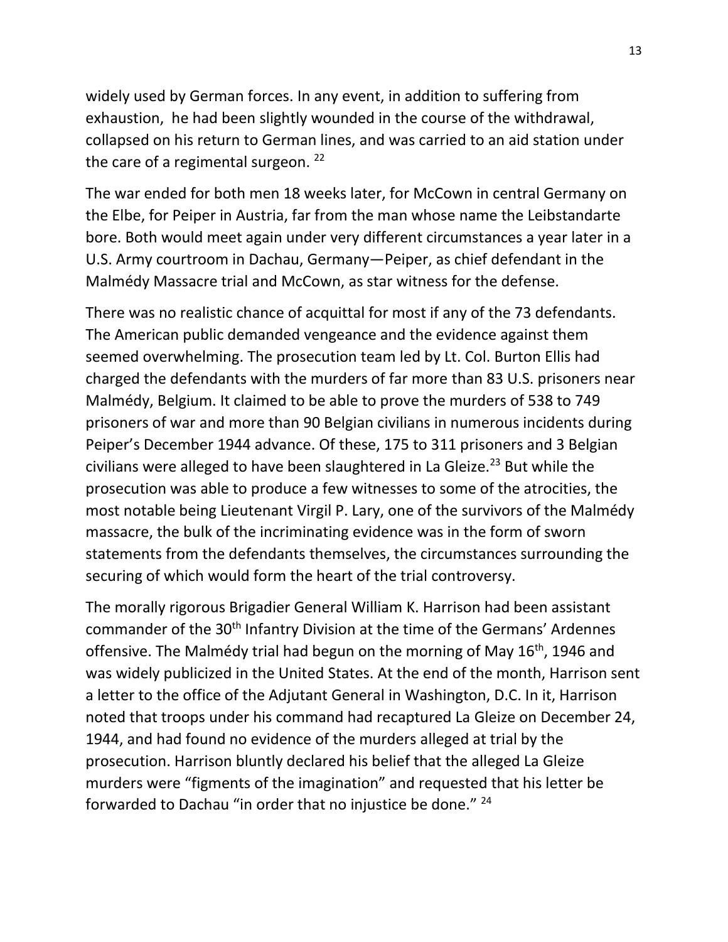widely used by German forces. In any event, in addition to suffering from exhaustion, he had been slightly wounded in the course of the withdrawal, collapsed on his return to German lines, and was carried to an aid station under the care of a regimental surgeon.  $22$ 

The war ended for both men 18 weeks later, for McCown in central Germany on the Elbe, for Peiper in Austria, far from the man whose name the Leibstandarte bore. Both would meet again under very different circumstances a year later in a U.S. Army courtroom in Dachau, Germany—Peiper, as chief defendant in the Malmédy Massacre trial and McCown, as star witness for the defense.

There was no realistic chance of acquittal for most if any of the 73 defendants. The American public demanded vengeance and the evidence against them seemed overwhelming. The prosecution team led by Lt. Col. Burton Ellis had charged the defendants with the murders of far more than 83 U.S. prisoners near Malmédy, Belgium. It claimed to be able to prove the murders of 538 to 749 prisoners of war and more than 90 Belgian civilians in numerous incidents during Peiper's December 1944 advance. Of these, 175 to 311 prisoners and 3 Belgian civilians were alleged to have been slaughtered in La Gleize.<sup>23</sup> But while the prosecution was able to produce a few witnesses to some of the atrocities, the most notable being Lieutenant Virgil P. Lary, one of the survivors of the Malmédy massacre, the bulk of the incriminating evidence was in the form of sworn statements from the defendants themselves, the circumstances surrounding the securing of which would form the heart of the trial controversy.

The morally rigorous Brigadier General William K. Harrison had been assistant commander of the 30<sup>th</sup> Infantry Division at the time of the Germans' Ardennes offensive. The Malmédy trial had begun on the morning of May  $16<sup>th</sup>$ , 1946 and was widely publicized in the United States. At the end of the month, Harrison sent a letter to the office of the Adjutant General in Washington, D.C. In it, Harrison noted that troops under his command had recaptured La Gleize on December 24, 1944, and had found no evidence of the murders alleged at trial by the prosecution. Harrison bluntly declared his belief that the alleged La Gleize murders were "figments of the imagination" and requested that his letter be forwarded to Dachau "in order that no injustice be done." <sup>24</sup>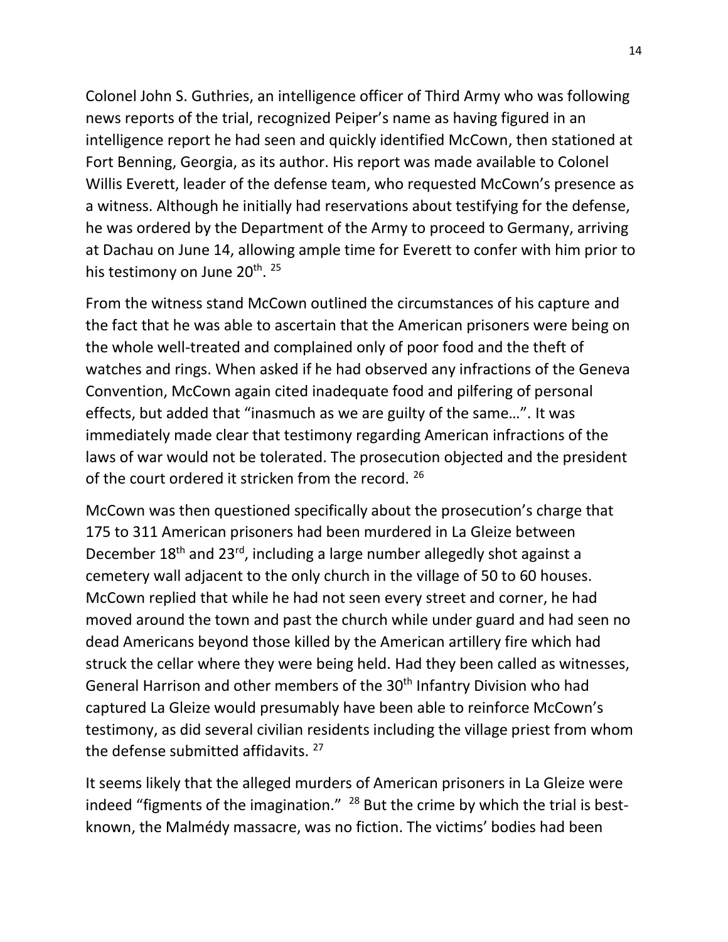Colonel John S. Guthries, an intelligence officer of Third Army who was following news reports of the trial, recognized Peiper's name as having figured in an intelligence report he had seen and quickly identified McCown, then stationed at Fort Benning, Georgia, as its author. His report was made available to Colonel Willis Everett, leader of the defense team, who requested McCown's presence as a witness. Although he initially had reservations about testifying for the defense, he was ordered by the Department of the Army to proceed to Germany, arriving at Dachau on June 14, allowing ample time for Everett to confer with him prior to his testimony on June 20<sup>th</sup>. <sup>25</sup>

From the witness stand McCown outlined the circumstances of his capture and the fact that he was able to ascertain that the American prisoners were being on the whole well-treated and complained only of poor food and the theft of watches and rings. When asked if he had observed any infractions of the Geneva Convention, McCown again cited inadequate food and pilfering of personal effects, but added that "inasmuch as we are guilty of the same…". It was immediately made clear that testimony regarding American infractions of the laws of war would not be tolerated. The prosecution objected and the president of the court ordered it stricken from the record. 26

McCown was then questioned specifically about the prosecution's charge that 175 to 311 American prisoners had been murdered in La Gleize between December 18th and 23rd, including a large number allegedly shot against a cemetery wall adjacent to the only church in the village of 50 to 60 houses. McCown replied that while he had not seen every street and corner, he had moved around the town and past the church while under guard and had seen no dead Americans beyond those killed by the American artillery fire which had struck the cellar where they were being held. Had they been called as witnesses, General Harrison and other members of the 30<sup>th</sup> Infantry Division who had captured La Gleize would presumably have been able to reinforce McCown's testimony, as did several civilian residents including the village priest from whom the defense submitted affidavits.  $27$ 

It seems likely that the alleged murders of American prisoners in La Gleize were indeed "figments of the imagination."  $28$  But the crime by which the trial is bestknown, the Malmédy massacre, was no fiction. The victims' bodies had been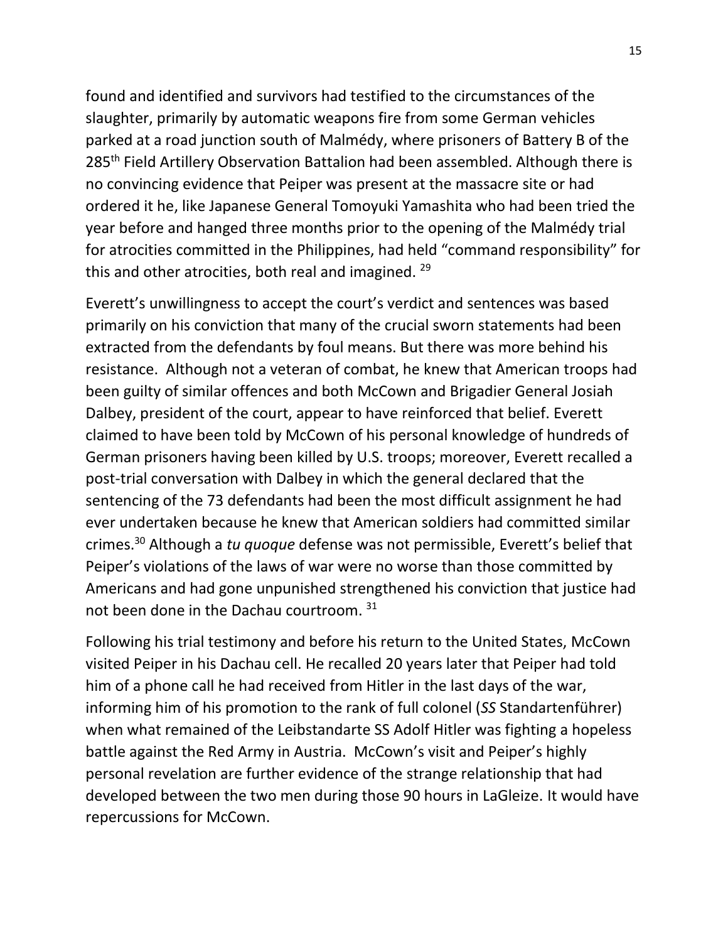found and identified and survivors had testified to the circumstances of the slaughter, primarily by automatic weapons fire from some German vehicles parked at a road junction south of Malmédy, where prisoners of Battery B of the 285<sup>th</sup> Field Artillery Observation Battalion had been assembled. Although there is no convincing evidence that Peiper was present at the massacre site or had ordered it he, like Japanese General Tomoyuki Yamashita who had been tried the year before and hanged three months prior to the opening of the Malmédy trial for atrocities committed in the Philippines, had held "command responsibility" for this and other atrocities, both real and imagined. <sup>29</sup>

Everett's unwillingness to accept the court's verdict and sentences was based primarily on his conviction that many of the crucial sworn statements had been extracted from the defendants by foul means. But there was more behind his resistance. Although not a veteran of combat, he knew that American troops had been guilty of similar offences and both McCown and Brigadier General Josiah Dalbey, president of the court, appear to have reinforced that belief. Everett claimed to have been told by McCown of his personal knowledge of hundreds of German prisoners having been killed by U.S. troops; moreover, Everett recalled a post-trial conversation with Dalbey in which the general declared that the sentencing of the 73 defendants had been the most difficult assignment he had ever undertaken because he knew that American soldiers had committed similar crimes. <sup>30</sup> Although a *tu quoque* defense was not permissible, Everett's belief that Peiper's violations of the laws of war were no worse than those committed by Americans and had gone unpunished strengthened his conviction that justice had not been done in the Dachau courtroom. 31

Following his trial testimony and before his return to the United States, McCown visited Peiper in his Dachau cell. He recalled 20 years later that Peiper had told him of a phone call he had received from Hitler in the last days of the war, informing him of his promotion to the rank of full colonel (*SS* Standartenführer) when what remained of the Leibstandarte SS Adolf Hitler was fighting a hopeless battle against the Red Army in Austria. McCown's visit and Peiper's highly personal revelation are further evidence of the strange relationship that had developed between the two men during those 90 hours in LaGleize. It would have repercussions for McCown.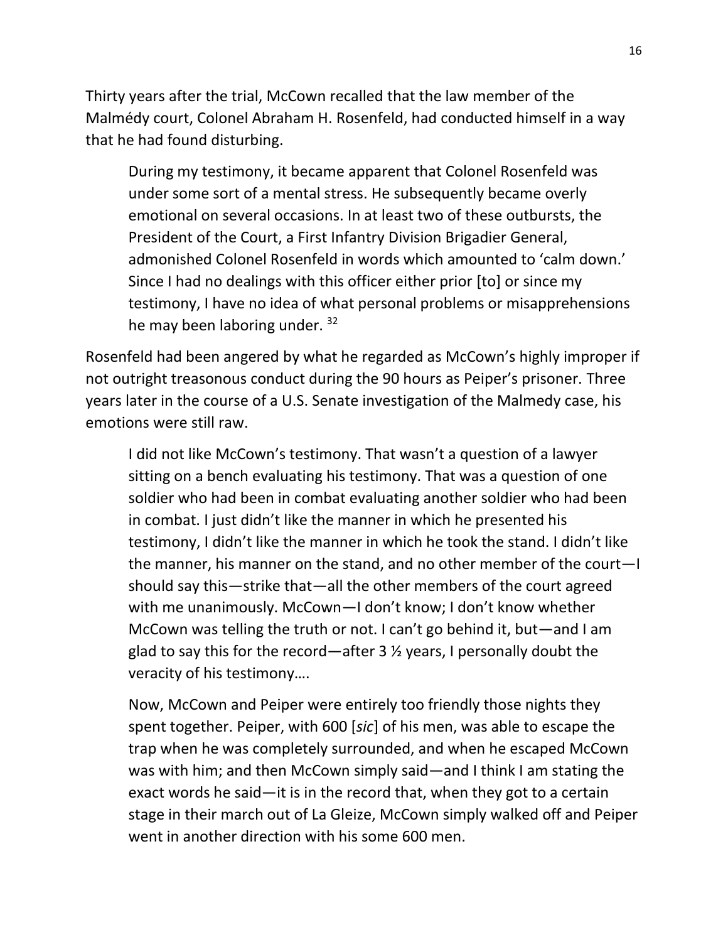Thirty years after the trial, McCown recalled that the law member of the Malmédy court, Colonel Abraham H. Rosenfeld, had conducted himself in a way that he had found disturbing.

During my testimony, it became apparent that Colonel Rosenfeld was under some sort of a mental stress. He subsequently became overly emotional on several occasions. In at least two of these outbursts, the President of the Court, a First Infantry Division Brigadier General, admonished Colonel Rosenfeld in words which amounted to 'calm down.' Since I had no dealings with this officer either prior [to] or since my testimony, I have no idea of what personal problems or misapprehensions he may been laboring under. 32

Rosenfeld had been angered by what he regarded as McCown's highly improper if not outright treasonous conduct during the 90 hours as Peiper's prisoner. Three years later in the course of a U.S. Senate investigation of the Malmedy case, his emotions were still raw.

I did not like McCown's testimony. That wasn't a question of a lawyer sitting on a bench evaluating his testimony. That was a question of one soldier who had been in combat evaluating another soldier who had been in combat. I just didn't like the manner in which he presented his testimony, I didn't like the manner in which he took the stand. I didn't like the manner, his manner on the stand, and no other member of the court—I should say this—strike that—all the other members of the court agreed with me unanimously. McCown—I don't know; I don't know whether McCown was telling the truth or not. I can't go behind it, but—and I am glad to say this for the record—after 3 ½ years, I personally doubt the veracity of his testimony….

Now, McCown and Peiper were entirely too friendly those nights they spent together. Peiper, with 600 [*sic*] of his men, was able to escape the trap when he was completely surrounded, and when he escaped McCown was with him; and then McCown simply said—and I think I am stating the exact words he said—it is in the record that, when they got to a certain stage in their march out of La Gleize, McCown simply walked off and Peiper went in another direction with his some 600 men.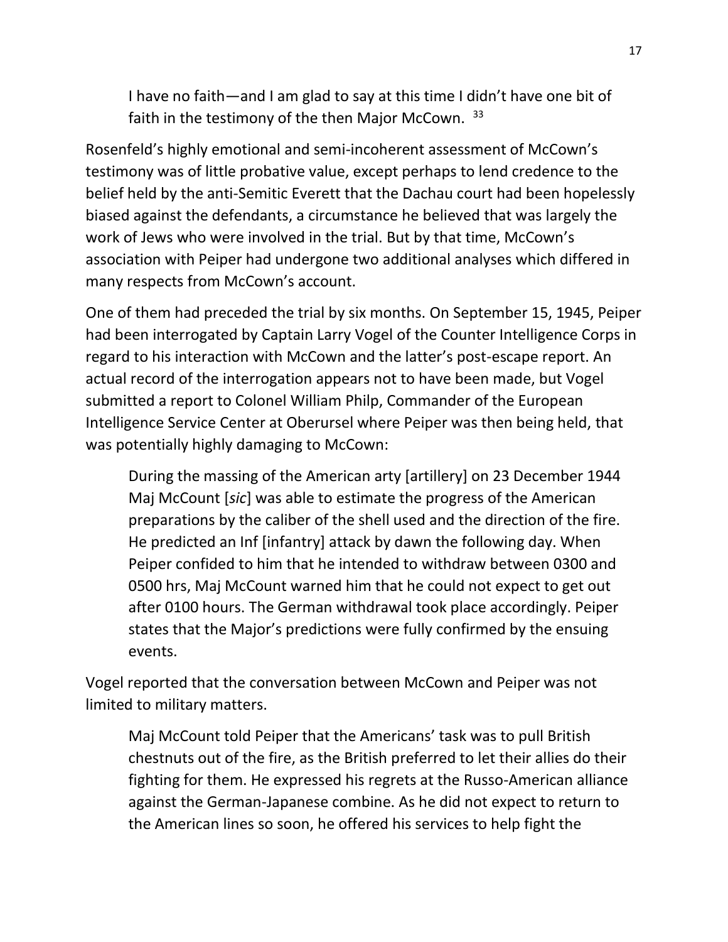I have no faith—and I am glad to say at this time I didn't have one bit of faith in the testimony of the then Major McCown. 33

Rosenfeld's highly emotional and semi-incoherent assessment of McCown's testimony was of little probative value, except perhaps to lend credence to the belief held by the anti-Semitic Everett that the Dachau court had been hopelessly biased against the defendants, a circumstance he believed that was largely the work of Jews who were involved in the trial. But by that time, McCown's association with Peiper had undergone two additional analyses which differed in many respects from McCown's account.

One of them had preceded the trial by six months. On September 15, 1945, Peiper had been interrogated by Captain Larry Vogel of the Counter Intelligence Corps in regard to his interaction with McCown and the latter's post-escape report. An actual record of the interrogation appears not to have been made, but Vogel submitted a report to Colonel William Philp, Commander of the European Intelligence Service Center at Oberursel where Peiper was then being held, that was potentially highly damaging to McCown:

During the massing of the American arty [artillery] on 23 December 1944 Maj McCount [*sic*] was able to estimate the progress of the American preparations by the caliber of the shell used and the direction of the fire. He predicted an Inf [infantry] attack by dawn the following day. When Peiper confided to him that he intended to withdraw between 0300 and 0500 hrs, Maj McCount warned him that he could not expect to get out after 0100 hours. The German withdrawal took place accordingly. Peiper states that the Major's predictions were fully confirmed by the ensuing events.

Vogel reported that the conversation between McCown and Peiper was not limited to military matters.

Maj McCount told Peiper that the Americans' task was to pull British chestnuts out of the fire, as the British preferred to let their allies do their fighting for them. He expressed his regrets at the Russo-American alliance against the German-Japanese combine. As he did not expect to return to the American lines so soon, he offered his services to help fight the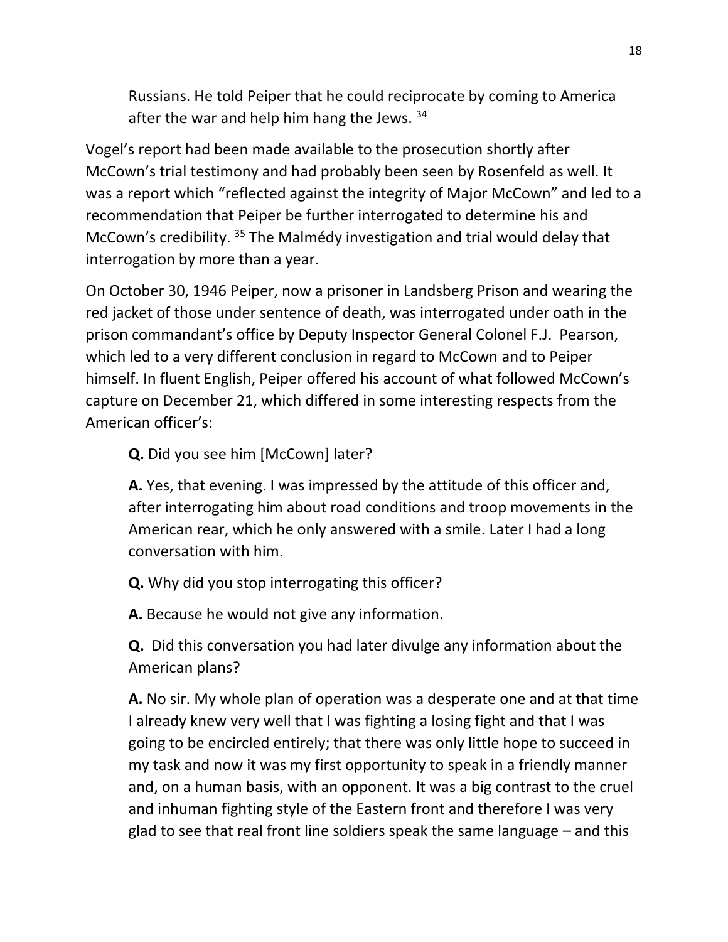Russians. He told Peiper that he could reciprocate by coming to America after the war and help him hang the Jews.  $34$ 

Vogel's report had been made available to the prosecution shortly after McCown's trial testimony and had probably been seen by Rosenfeld as well. It was a report which "reflected against the integrity of Major McCown" and led to a recommendation that Peiper be further interrogated to determine his and McCown's credibility. <sup>35</sup> The Malmédy investigation and trial would delay that interrogation by more than a year.

On October 30, 1946 Peiper, now a prisoner in Landsberg Prison and wearing the red jacket of those under sentence of death, was interrogated under oath in the prison commandant's office by Deputy Inspector General Colonel F.J. Pearson, which led to a very different conclusion in regard to McCown and to Peiper himself. In fluent English, Peiper offered his account of what followed McCown's capture on December 21, which differed in some interesting respects from the American officer's:

**Q.** Did you see him [McCown] later?

**A.** Yes, that evening. I was impressed by the attitude of this officer and, after interrogating him about road conditions and troop movements in the American rear, which he only answered with a smile. Later I had a long conversation with him.

**Q.** Why did you stop interrogating this officer?

**A.** Because he would not give any information.

**Q.** Did this conversation you had later divulge any information about the American plans?

**A.** No sir. My whole plan of operation was a desperate one and at that time I already knew very well that I was fighting a losing fight and that I was going to be encircled entirely; that there was only little hope to succeed in my task and now it was my first opportunity to speak in a friendly manner and, on a human basis, with an opponent. It was a big contrast to the cruel and inhuman fighting style of the Eastern front and therefore I was very glad to see that real front line soldiers speak the same language – and this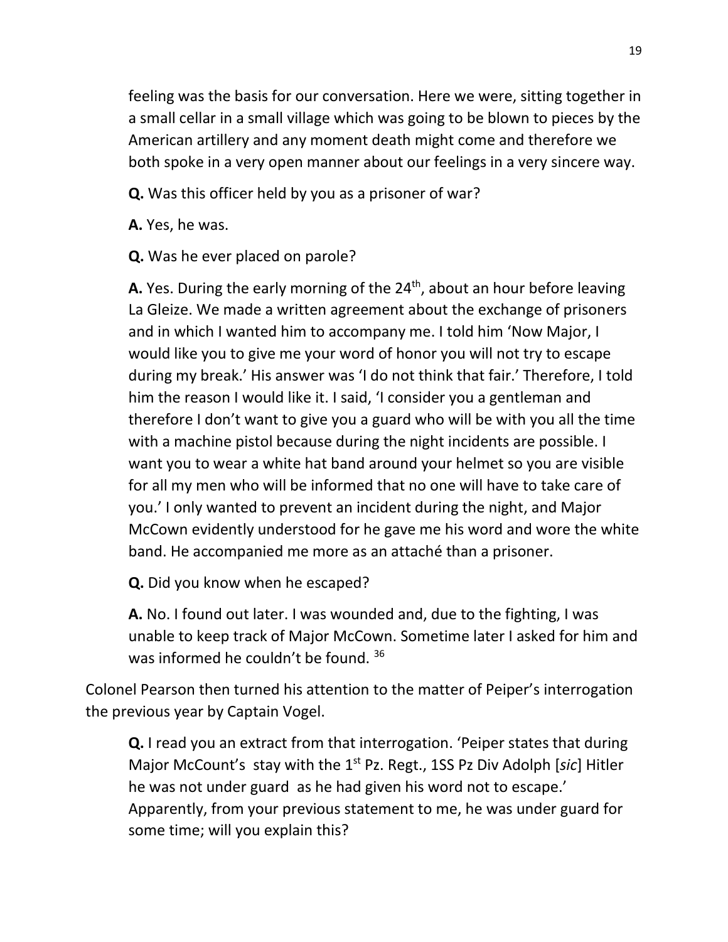feeling was the basis for our conversation. Here we were, sitting together in a small cellar in a small village which was going to be blown to pieces by the American artillery and any moment death might come and therefore we both spoke in a very open manner about our feelings in a very sincere way.

**Q.** Was this officer held by you as a prisoner of war?

**A.** Yes, he was.

**Q.** Was he ever placed on parole?

**A.** Yes. During the early morning of the  $24<sup>th</sup>$ , about an hour before leaving La Gleize. We made a written agreement about the exchange of prisoners and in which I wanted him to accompany me. I told him 'Now Major, I would like you to give me your word of honor you will not try to escape during my break.' His answer was 'I do not think that fair.' Therefore, I told him the reason I would like it. I said, 'I consider you a gentleman and therefore I don't want to give you a guard who will be with you all the time with a machine pistol because during the night incidents are possible. I want you to wear a white hat band around your helmet so you are visible for all my men who will be informed that no one will have to take care of you.' I only wanted to prevent an incident during the night, and Major McCown evidently understood for he gave me his word and wore the white band. He accompanied me more as an attaché than a prisoner.

**Q.** Did you know when he escaped?

**A.** No. I found out later. I was wounded and, due to the fighting, I was unable to keep track of Major McCown. Sometime later I asked for him and was informed he couldn't be found. 36

Colonel Pearson then turned his attention to the matter of Peiper's interrogation the previous year by Captain Vogel.

**Q.** I read you an extract from that interrogation. 'Peiper states that during Major McCount's stay with the 1st Pz. Regt., 1SS Pz Div Adolph [*sic*] Hitler he was not under guard as he had given his word not to escape.' Apparently, from your previous statement to me, he was under guard for some time; will you explain this?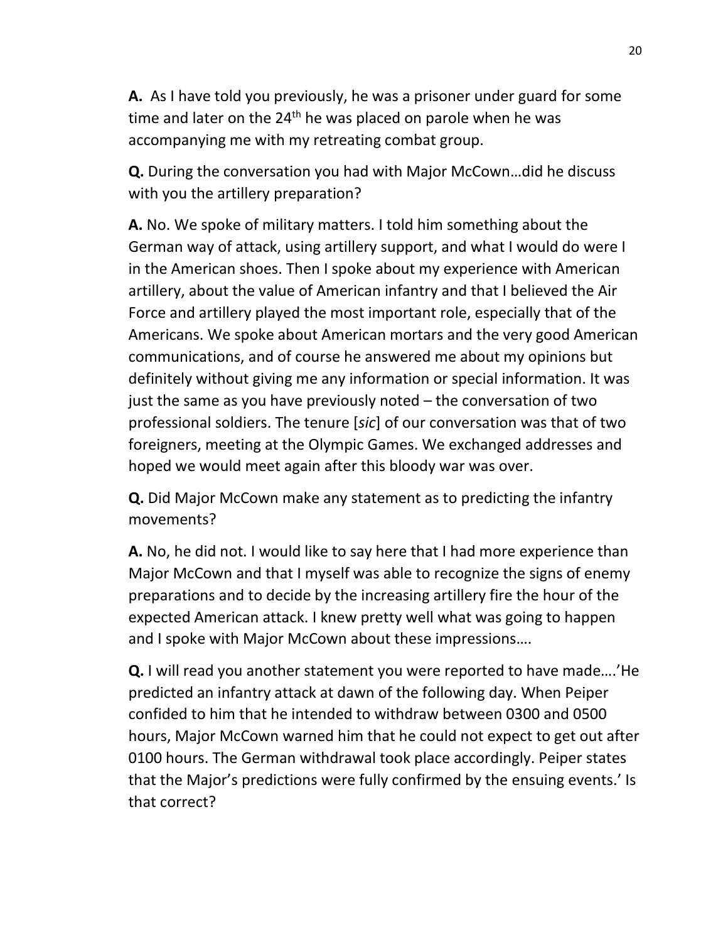**A.** As I have told you previously, he was a prisoner under guard for some time and later on the  $24<sup>th</sup>$  he was placed on parole when he was accompanying me with my retreating combat group.

**Q.** During the conversation you had with Major McCown…did he discuss with you the artillery preparation?

**A.** No. We spoke of military matters. I told him something about the German way of attack, using artillery support, and what I would do were I in the American shoes. Then I spoke about my experience with American artillery, about the value of American infantry and that I believed the Air Force and artillery played the most important role, especially that of the Americans. We spoke about American mortars and the very good American communications, and of course he answered me about my opinions but definitely without giving me any information or special information. It was just the same as you have previously noted – the conversation of two professional soldiers. The tenure [*sic*] of our conversation was that of two foreigners, meeting at the Olympic Games. We exchanged addresses and hoped we would meet again after this bloody war was over.

**Q.** Did Major McCown make any statement as to predicting the infantry movements?

**A.** No, he did not. I would like to say here that I had more experience than Major McCown and that I myself was able to recognize the signs of enemy preparations and to decide by the increasing artillery fire the hour of the expected American attack. I knew pretty well what was going to happen and I spoke with Major McCown about these impressions….

**Q.** I will read you another statement you were reported to have made….'He predicted an infantry attack at dawn of the following day. When Peiper confided to him that he intended to withdraw between 0300 and 0500 hours, Major McCown warned him that he could not expect to get out after 0100 hours. The German withdrawal took place accordingly. Peiper states that the Major's predictions were fully confirmed by the ensuing events.' Is that correct?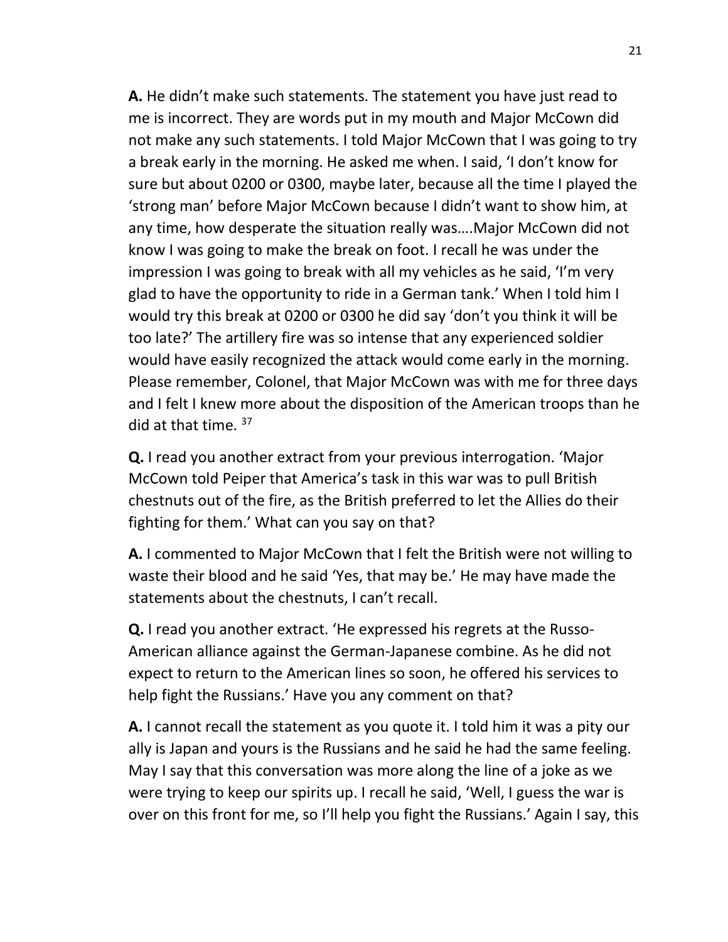**A.** He didn't make such statements. The statement you have just read to me is incorrect. They are words put in my mouth and Major McCown did not make any such statements. I told Major McCown that I was going to try a break early in the morning. He asked me when. I said, 'I don't know for sure but about 0200 or 0300, maybe later, because all the time I played the 'strong man' before Major McCown because I didn't want to show him, at any time, how desperate the situation really was….Major McCown did not know I was going to make the break on foot. I recall he was under the impression I was going to break with all my vehicles as he said, 'I'm very glad to have the opportunity to ride in a German tank.' When I told him I would try this break at 0200 or 0300 he did say 'don't you think it will be too late?' The artillery fire was so intense that any experienced soldier would have easily recognized the attack would come early in the morning. Please remember, Colonel, that Major McCown was with me for three days and I felt I knew more about the disposition of the American troops than he did at that time.  $37$ 

**Q.** I read you another extract from your previous interrogation. 'Major McCown told Peiper that America's task in this war was to pull British chestnuts out of the fire, as the British preferred to let the Allies do their fighting for them.' What can you say on that?

**A.** I commented to Major McCown that I felt the British were not willing to waste their blood and he said 'Yes, that may be.' He may have made the statements about the chestnuts, I can't recall.

**Q.** I read you another extract. 'He expressed his regrets at the Russo-American alliance against the German-Japanese combine. As he did not expect to return to the American lines so soon, he offered his services to help fight the Russians.' Have you any comment on that?

**A.** I cannot recall the statement as you quote it. I told him it was a pity our ally is Japan and yours is the Russians and he said he had the same feeling. May I say that this conversation was more along the line of a joke as we were trying to keep our spirits up. I recall he said, 'Well, I guess the war is over on this front for me, so I'll help you fight the Russians.' Again I say, this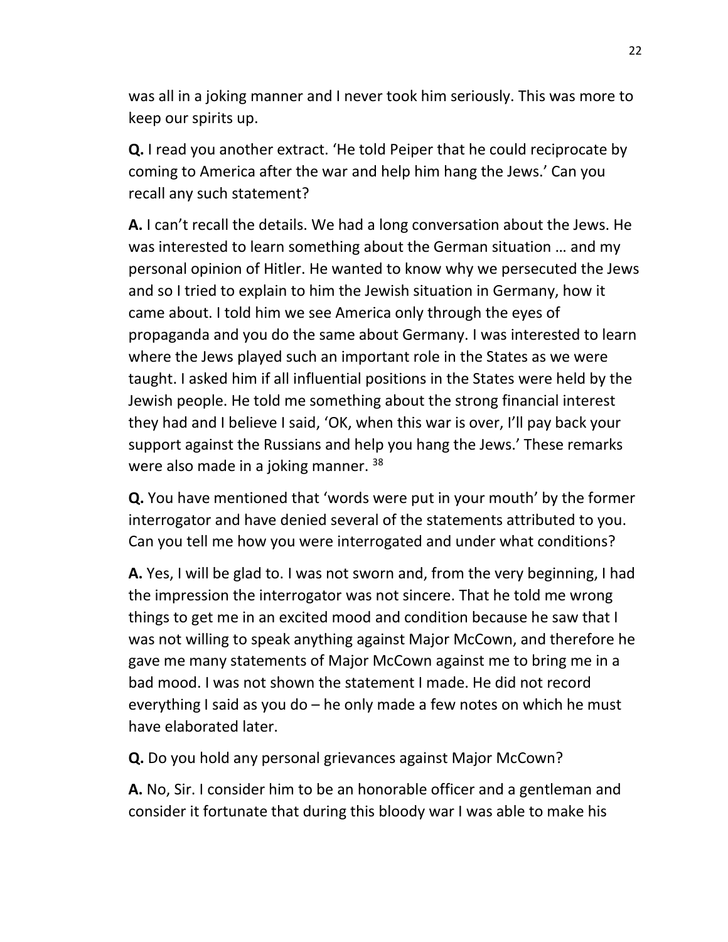was all in a joking manner and I never took him seriously. This was more to keep our spirits up.

**Q.** I read you another extract. 'He told Peiper that he could reciprocate by coming to America after the war and help him hang the Jews.' Can you recall any such statement?

**A.** I can't recall the details. We had a long conversation about the Jews. He was interested to learn something about the German situation … and my personal opinion of Hitler. He wanted to know why we persecuted the Jews and so I tried to explain to him the Jewish situation in Germany, how it came about. I told him we see America only through the eyes of propaganda and you do the same about Germany. I was interested to learn where the Jews played such an important role in the States as we were taught. I asked him if all influential positions in the States were held by the Jewish people. He told me something about the strong financial interest they had and I believe I said, 'OK, when this war is over, I'll pay back your support against the Russians and help you hang the Jews.' These remarks were also made in a joking manner.<sup>38</sup>

**Q.** You have mentioned that 'words were put in your mouth' by the former interrogator and have denied several of the statements attributed to you. Can you tell me how you were interrogated and under what conditions?

**A.** Yes, I will be glad to. I was not sworn and, from the very beginning, I had the impression the interrogator was not sincere. That he told me wrong things to get me in an excited mood and condition because he saw that I was not willing to speak anything against Major McCown, and therefore he gave me many statements of Major McCown against me to bring me in a bad mood. I was not shown the statement I made. He did not record everything I said as you do – he only made a few notes on which he must have elaborated later.

**Q.** Do you hold any personal grievances against Major McCown?

**A.** No, Sir. I consider him to be an honorable officer and a gentleman and consider it fortunate that during this bloody war I was able to make his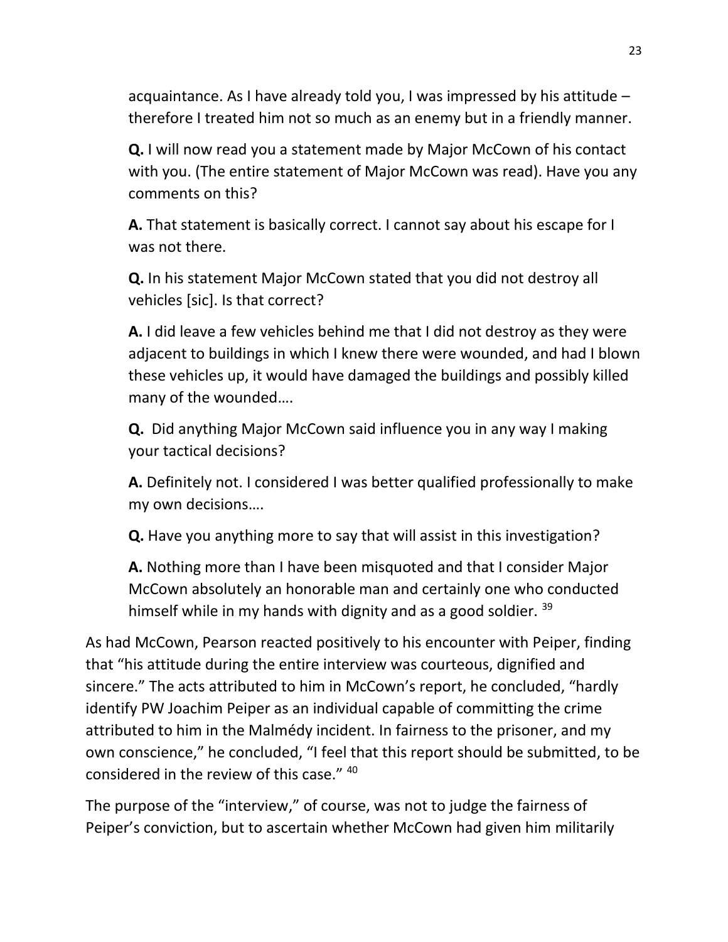acquaintance. As I have already told you, I was impressed by his attitude – therefore I treated him not so much as an enemy but in a friendly manner.

**Q.** I will now read you a statement made by Major McCown of his contact with you. (The entire statement of Major McCown was read). Have you any comments on this?

**A.** That statement is basically correct. I cannot say about his escape for I was not there.

**Q.** In his statement Major McCown stated that you did not destroy all vehicles [sic]. Is that correct?

**A.** I did leave a few vehicles behind me that I did not destroy as they were adjacent to buildings in which I knew there were wounded, and had I blown these vehicles up, it would have damaged the buildings and possibly killed many of the wounded….

**Q.** Did anything Major McCown said influence you in any way I making your tactical decisions?

**A.** Definitely not. I considered I was better qualified professionally to make my own decisions….

**Q.** Have you anything more to say that will assist in this investigation?

**A.** Nothing more than I have been misquoted and that I consider Major McCown absolutely an honorable man and certainly one who conducted himself while in my hands with dignity and as a good soldier. 39

As had McCown, Pearson reacted positively to his encounter with Peiper, finding that "his attitude during the entire interview was courteous, dignified and sincere." The acts attributed to him in McCown's report, he concluded, "hardly identify PW Joachim Peiper as an individual capable of committing the crime attributed to him in the Malmédy incident. In fairness to the prisoner, and my own conscience," he concluded, "I feel that this report should be submitted, to be considered in the review of this case." <sup>40</sup>

The purpose of the "interview," of course, was not to judge the fairness of Peiper's conviction, but to ascertain whether McCown had given him militarily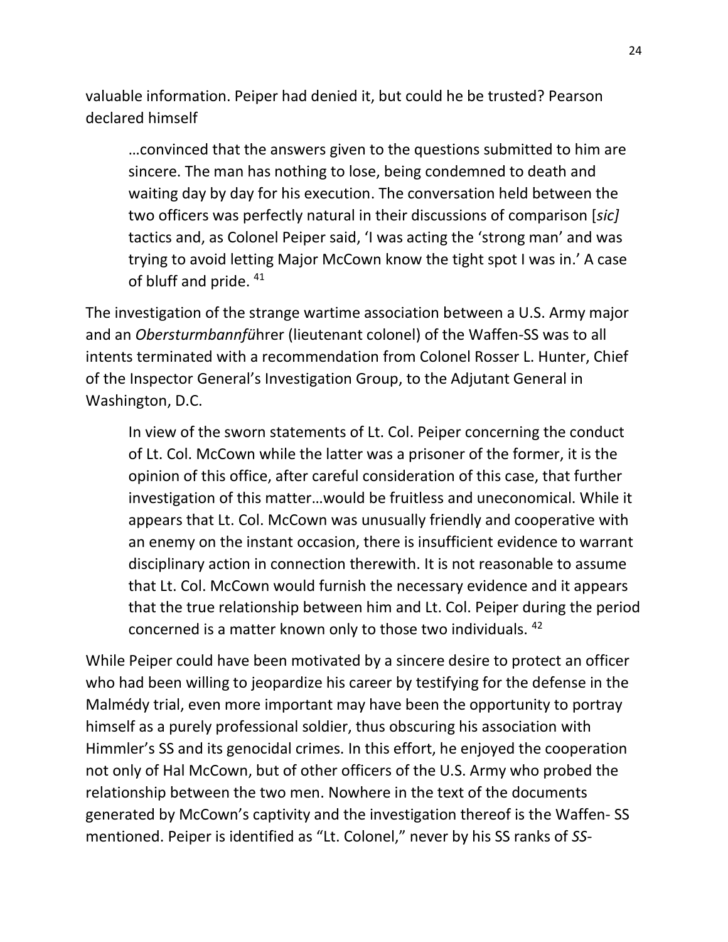valuable information. Peiper had denied it, but could he be trusted? Pearson declared himself

…convinced that the answers given to the questions submitted to him are sincere. The man has nothing to lose, being condemned to death and waiting day by day for his execution. The conversation held between the two officers was perfectly natural in their discussions of comparison [*sic]* tactics and, as Colonel Peiper said, 'I was acting the 'strong man' and was trying to avoid letting Major McCown know the tight spot I was in.' A case of bluff and pride. 41

The investigation of the strange wartime association between a U.S. Army major and an *Obersturmbannfü*hrer (lieutenant colonel) of the Waffen-SS was to all intents terminated with a recommendation from Colonel Rosser L. Hunter, Chief of the Inspector General's Investigation Group, to the Adjutant General in Washington, D.C.

In view of the sworn statements of Lt. Col. Peiper concerning the conduct of Lt. Col. McCown while the latter was a prisoner of the former, it is the opinion of this office, after careful consideration of this case, that further investigation of this matter…would be fruitless and uneconomical. While it appears that Lt. Col. McCown was unusually friendly and cooperative with an enemy on the instant occasion, there is insufficient evidence to warrant disciplinary action in connection therewith. It is not reasonable to assume that Lt. Col. McCown would furnish the necessary evidence and it appears that the true relationship between him and Lt. Col. Peiper during the period concerned is a matter known only to those two individuals. <sup>42</sup>

While Peiper could have been motivated by a sincere desire to protect an officer who had been willing to jeopardize his career by testifying for the defense in the Malmédy trial, even more important may have been the opportunity to portray himself as a purely professional soldier, thus obscuring his association with Himmler's SS and its genocidal crimes. In this effort, he enjoyed the cooperation not only of Hal McCown, but of other officers of the U.S. Army who probed the relationship between the two men. Nowhere in the text of the documents generated by McCown's captivity and the investigation thereof is the Waffen- SS mentioned. Peiper is identified as "Lt. Colonel," never by his SS ranks of *SS-*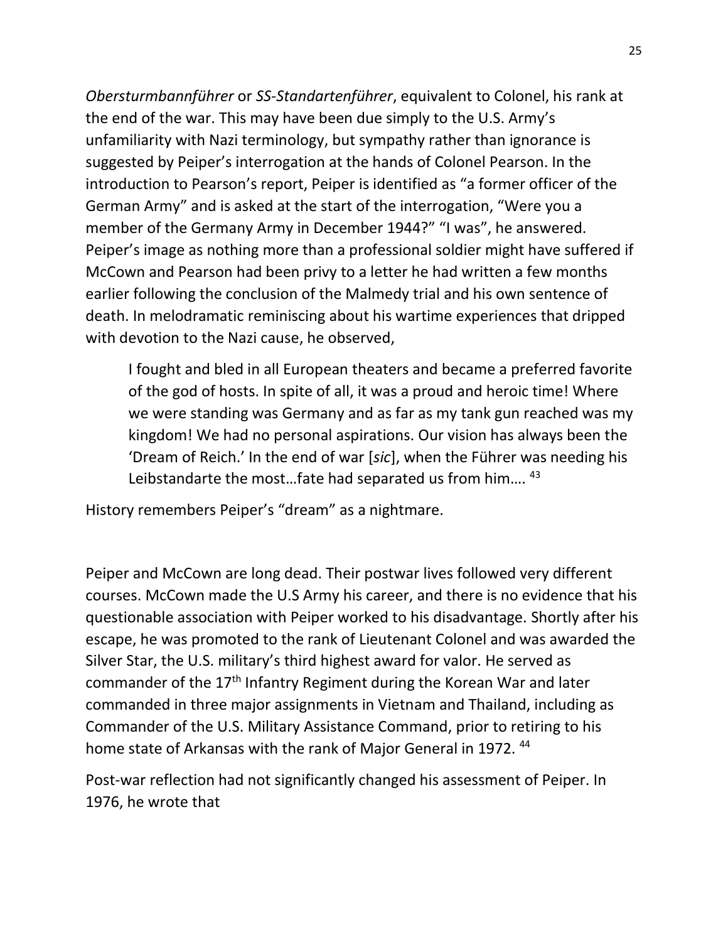*Obersturmbannführer* or *SS-Standartenführer*, equivalent to Colonel, his rank at the end of the war. This may have been due simply to the U.S. Army's unfamiliarity with Nazi terminology, but sympathy rather than ignorance is suggested by Peiper's interrogation at the hands of Colonel Pearson. In the introduction to Pearson's report, Peiper is identified as "a former officer of the German Army" and is asked at the start of the interrogation, "Were you a member of the Germany Army in December 1944?" "I was", he answered. Peiper's image as nothing more than a professional soldier might have suffered if McCown and Pearson had been privy to a letter he had written a few months earlier following the conclusion of the Malmedy trial and his own sentence of death. In melodramatic reminiscing about his wartime experiences that dripped with devotion to the Nazi cause, he observed,

I fought and bled in all European theaters and became a preferred favorite of the god of hosts. In spite of all, it was a proud and heroic time! Where we were standing was Germany and as far as my tank gun reached was my kingdom! We had no personal aspirations. Our vision has always been the 'Dream of Reich.' In the end of war [*sic*], when the Führer was needing his Leibstandarte the most...fate had separated us from him.... $43$ 

History remembers Peiper's "dream" as a nightmare.

Peiper and McCown are long dead. Their postwar lives followed very different courses. McCown made the U.S Army his career, and there is no evidence that his questionable association with Peiper worked to his disadvantage. Shortly after his escape, he was promoted to the rank of Lieutenant Colonel and was awarded the Silver Star, the U.S. military's third highest award for valor. He served as commander of the 17<sup>th</sup> Infantry Regiment during the Korean War and later commanded in three major assignments in Vietnam and Thailand, including as Commander of the U.S. Military Assistance Command, prior to retiring to his home state of Arkansas with the rank of Major General in 1972.<sup>44</sup>

Post-war reflection had not significantly changed his assessment of Peiper. In 1976, he wrote that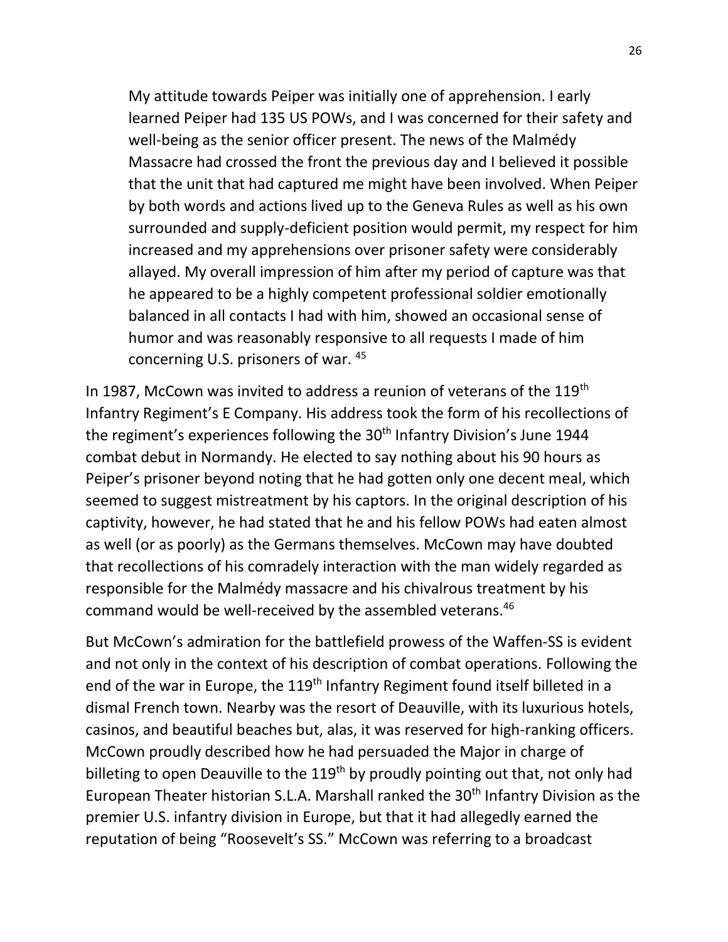My attitude towards Peiper was initially one of apprehension. I early learned Peiper had 135 US POWs, and I was concerned for their safety and well-being as the senior officer present. The news of the Malmédy Massacre had crossed the front the previous day and I believed it possible that the unit that had captured me might have been involved. When Peiper by both words and actions lived up to the Geneva Rules as well as his own surrounded and supply-deficient position would permit, my respect for him increased and my apprehensions over prisoner safety were considerably allayed. My overall impression of him after my period of capture was that he appeared to be a highly competent professional soldier emotionally balanced in all contacts I had with him, showed an occasional sense of humor and was reasonably responsive to all requests I made of him concerning U.S. prisoners of war. <sup>45</sup>

In 1987, McCown was invited to address a reunion of veterans of the 119<sup>th</sup> Infantry Regiment's E Company. His address took the form of his recollections of the regiment's experiences following the 30<sup>th</sup> Infantry Division's June 1944 combat debut in Normandy. He elected to say nothing about his 90 hours as Peiper's prisoner beyond noting that he had gotten only one decent meal, which seemed to suggest mistreatment by his captors. In the original description of his captivity, however, he had stated that he and his fellow POWs had eaten almost as well (or as poorly) as the Germans themselves. McCown may have doubted that recollections of his comradely interaction with the man widely regarded as responsible for the Malmédy massacre and his chivalrous treatment by his command would be well-received by the assembled veterans.<sup>46</sup>

But McCown's admiration for the battlefield prowess of the Waffen-SS is evident and not only in the context of his description of combat operations. Following the end of the war in Europe, the 119<sup>th</sup> Infantry Regiment found itself billeted in a dismal French town. Nearby was the resort of Deauville, with its luxurious hotels, casinos, and beautiful beaches but, alas, it was reserved for high-ranking officers. McCown proudly described how he had persuaded the Major in charge of billeting to open Deauville to the 119<sup>th</sup> by proudly pointing out that, not only had European Theater historian S.L.A. Marshall ranked the 30<sup>th</sup> Infantry Division as the premier U.S. infantry division in Europe, but that it had allegedly earned the reputation of being "Roosevelt's SS." McCown was referring to a broadcast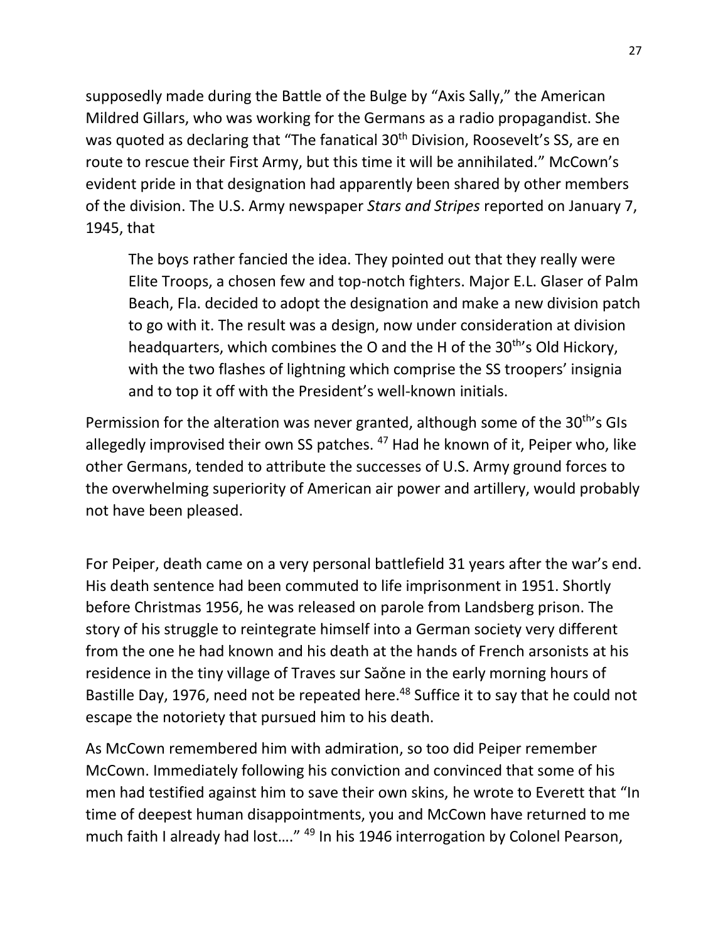supposedly made during the Battle of the Bulge by "Axis Sally," the American Mildred Gillars, who was working for the Germans as a radio propagandist. She was quoted as declaring that "The fanatical 30<sup>th</sup> Division, Roosevelt's SS, are en route to rescue their First Army, but this time it will be annihilated." McCown's evident pride in that designation had apparently been shared by other members of the division. The U.S. Army newspaper *Stars and Stripes* reported on January 7, 1945, that

The boys rather fancied the idea. They pointed out that they really were Elite Troops, a chosen few and top-notch fighters. Major E.L. Glaser of Palm Beach, Fla. decided to adopt the designation and make a new division patch to go with it. The result was a design, now under consideration at division headquarters, which combines the O and the H of the 30<sup>th</sup>'s Old Hickory, with the two flashes of lightning which comprise the SS troopers' insignia and to top it off with the President's well-known initials.

Permission for the alteration was never granted, although some of the 30<sup>th</sup>'s GIs allegedly improvised their own SS patches. <sup>47</sup> Had he known of it, Peiper who, like other Germans, tended to attribute the successes of U.S. Army ground forces to the overwhelming superiority of American air power and artillery, would probably not have been pleased.

For Peiper, death came on a very personal battlefield 31 years after the war's end. His death sentence had been commuted to life imprisonment in 1951. Shortly before Christmas 1956, he was released on parole from Landsberg prison. The story of his struggle to reintegrate himself into a German society very different from the one he had known and his death at the hands of French arsonists at his residence in the tiny village of Traves sur Saŏne in the early morning hours of Bastille Day, 1976, need not be repeated here.<sup>48</sup> Suffice it to say that he could not escape the notoriety that pursued him to his death.

As McCown remembered him with admiration, so too did Peiper remember McCown. Immediately following his conviction and convinced that some of his men had testified against him to save their own skins, he wrote to Everett that "In time of deepest human disappointments, you and McCown have returned to me much faith I already had lost...."<sup>49</sup> In his 1946 interrogation by Colonel Pearson,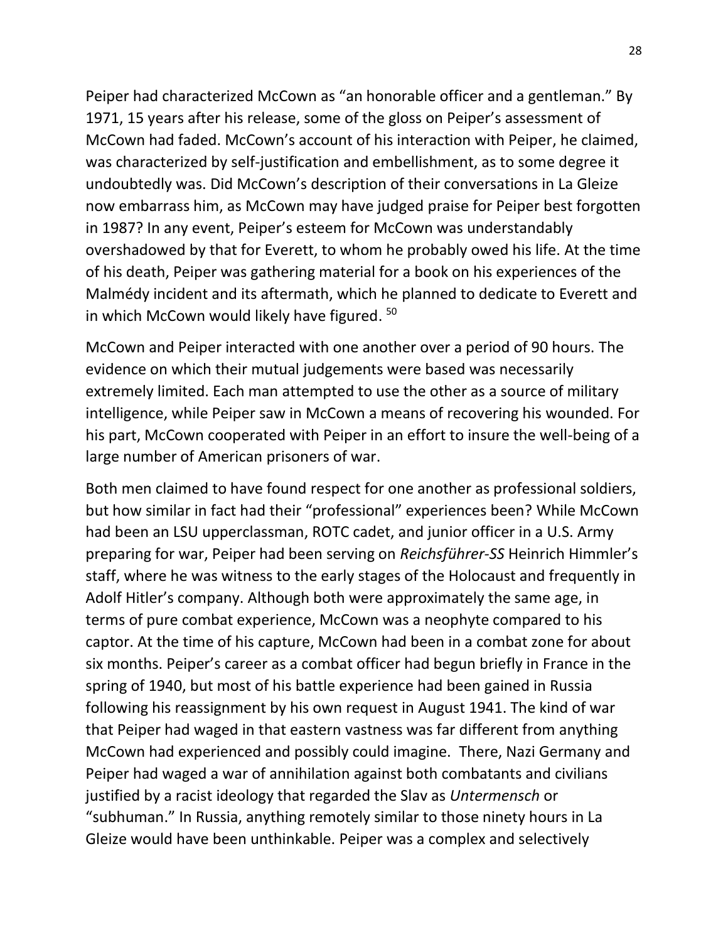Peiper had characterized McCown as "an honorable officer and a gentleman." By 1971, 15 years after his release, some of the gloss on Peiper's assessment of McCown had faded. McCown's account of his interaction with Peiper, he claimed, was characterized by self-justification and embellishment, as to some degree it undoubtedly was. Did McCown's description of their conversations in La Gleize now embarrass him, as McCown may have judged praise for Peiper best forgotten in 1987? In any event, Peiper's esteem for McCown was understandably overshadowed by that for Everett, to whom he probably owed his life. At the time of his death, Peiper was gathering material for a book on his experiences of the Malmédy incident and its aftermath, which he planned to dedicate to Everett and in which McCown would likely have figured. 50

McCown and Peiper interacted with one another over a period of 90 hours. The evidence on which their mutual judgements were based was necessarily extremely limited. Each man attempted to use the other as a source of military intelligence, while Peiper saw in McCown a means of recovering his wounded. For his part, McCown cooperated with Peiper in an effort to insure the well-being of a large number of American prisoners of war.

Both men claimed to have found respect for one another as professional soldiers, but how similar in fact had their "professional" experiences been? While McCown had been an LSU upperclassman, ROTC cadet, and junior officer in a U.S. Army preparing for war, Peiper had been serving on *Reichsführer-SS* Heinrich Himmler's staff, where he was witness to the early stages of the Holocaust and frequently in Adolf Hitler's company. Although both were approximately the same age, in terms of pure combat experience, McCown was a neophyte compared to his captor. At the time of his capture, McCown had been in a combat zone for about six months. Peiper's career as a combat officer had begun briefly in France in the spring of 1940, but most of his battle experience had been gained in Russia following his reassignment by his own request in August 1941. The kind of war that Peiper had waged in that eastern vastness was far different from anything McCown had experienced and possibly could imagine. There, Nazi Germany and Peiper had waged a war of annihilation against both combatants and civilians justified by a racist ideology that regarded the Slav as *Untermensch* or "subhuman." In Russia, anything remotely similar to those ninety hours in La Gleize would have been unthinkable. Peiper was a complex and selectively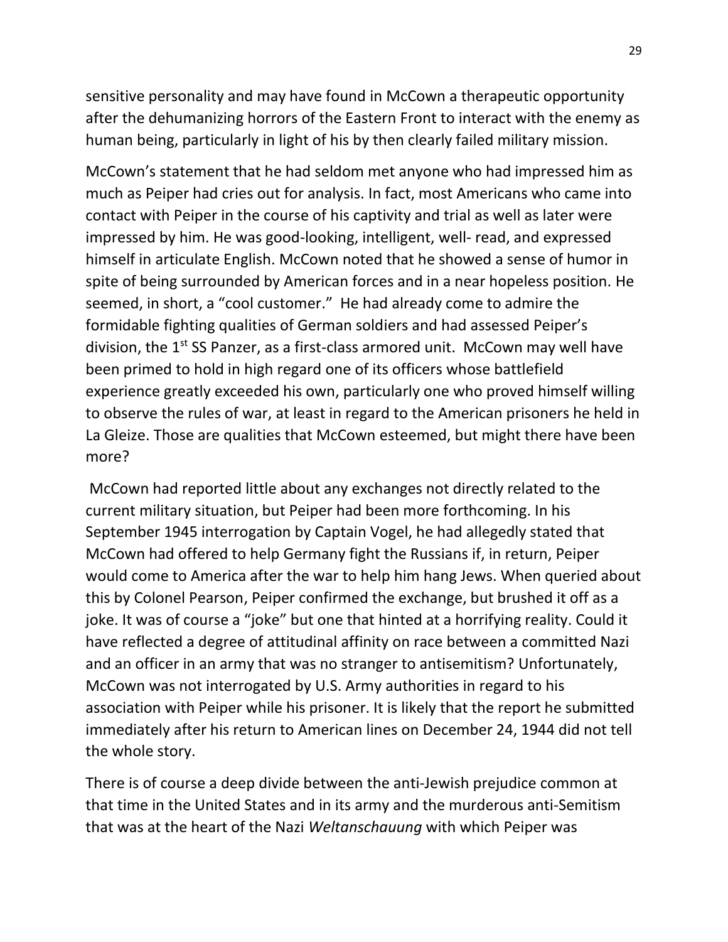sensitive personality and may have found in McCown a therapeutic opportunity after the dehumanizing horrors of the Eastern Front to interact with the enemy as human being, particularly in light of his by then clearly failed military mission.

McCown's statement that he had seldom met anyone who had impressed him as much as Peiper had cries out for analysis. In fact, most Americans who came into contact with Peiper in the course of his captivity and trial as well as later were impressed by him. He was good-looking, intelligent, well- read, and expressed himself in articulate English. McCown noted that he showed a sense of humor in spite of being surrounded by American forces and in a near hopeless position. He seemed, in short, a "cool customer." He had already come to admire the formidable fighting qualities of German soldiers and had assessed Peiper's division, the  $1<sup>st</sup>$  SS Panzer, as a first-class armored unit. McCown may well have been primed to hold in high regard one of its officers whose battlefield experience greatly exceeded his own, particularly one who proved himself willing to observe the rules of war, at least in regard to the American prisoners he held in La Gleize. Those are qualities that McCown esteemed, but might there have been more?

McCown had reported little about any exchanges not directly related to the current military situation, but Peiper had been more forthcoming. In his September 1945 interrogation by Captain Vogel, he had allegedly stated that McCown had offered to help Germany fight the Russians if, in return, Peiper would come to America after the war to help him hang Jews. When queried about this by Colonel Pearson, Peiper confirmed the exchange, but brushed it off as a joke. It was of course a "joke" but one that hinted at a horrifying reality. Could it have reflected a degree of attitudinal affinity on race between a committed Nazi and an officer in an army that was no stranger to antisemitism? Unfortunately, McCown was not interrogated by U.S. Army authorities in regard to his association with Peiper while his prisoner. It is likely that the report he submitted immediately after his return to American lines on December 24, 1944 did not tell the whole story.

There is of course a deep divide between the anti-Jewish prejudice common at that time in the United States and in its army and the murderous anti-Semitism that was at the heart of the Nazi *Weltanschauung* with which Peiper was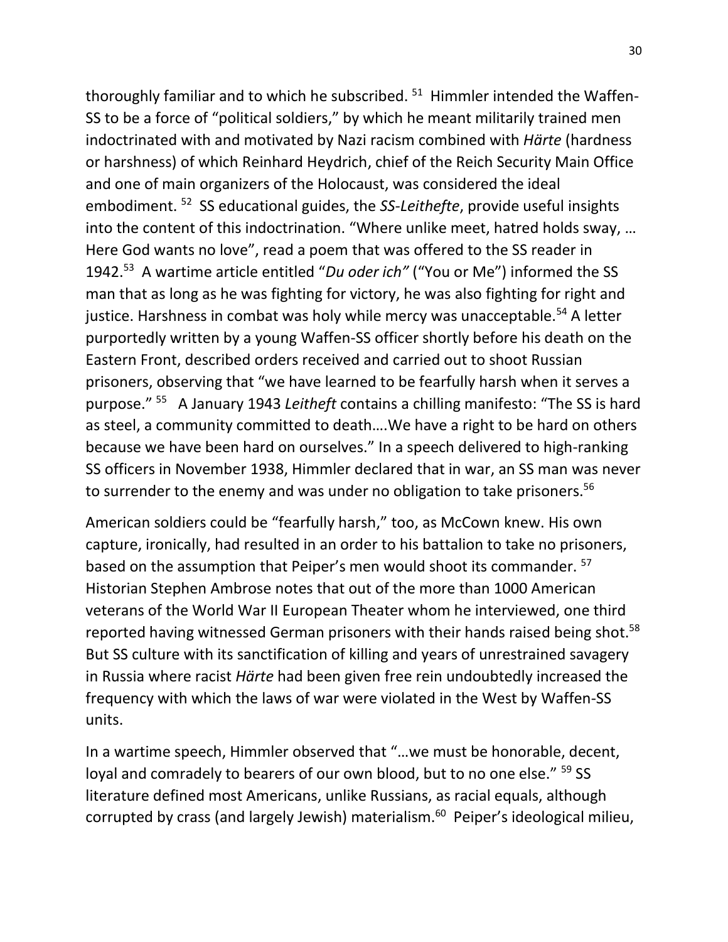thoroughly familiar and to which he subscribed. <sup>51</sup> Himmler intended the Waffen-SS to be a force of "political soldiers," by which he meant militarily trained men indoctrinated with and motivated by Nazi racism combined with *Härte* (hardness or harshness) of which Reinhard Heydrich, chief of the Reich Security Main Office and one of main organizers of the Holocaust, was considered the ideal embodiment. <sup>52</sup> SS educational guides, the *SS-Leithefte*, provide useful insights into the content of this indoctrination. "Where unlike meet, hatred holds sway, … Here God wants no love", read a poem that was offered to the SS reader in 1942. <sup>53</sup> A wartime article entitled "*Du oder ich"* ("You or Me") informed the SS man that as long as he was fighting for victory, he was also fighting for right and justice. Harshness in combat was holy while mercy was unacceptable.<sup>54</sup> A letter purportedly written by a young Waffen-SS officer shortly before his death on the Eastern Front, described orders received and carried out to shoot Russian prisoners, observing that "we have learned to be fearfully harsh when it serves a purpose." <sup>55</sup> A January 1943 *Leitheft* contains a chilling manifesto: "The SS is hard as steel, a community committed to death….We have a right to be hard on others because we have been hard on ourselves." In a speech delivered to high-ranking SS officers in November 1938, Himmler declared that in war, an SS man was never to surrender to the enemy and was under no obligation to take prisoners.<sup>56</sup>

American soldiers could be "fearfully harsh," too, as McCown knew. His own capture, ironically, had resulted in an order to his battalion to take no prisoners, based on the assumption that Peiper's men would shoot its commander. <sup>57</sup> Historian Stephen Ambrose notes that out of the more than 1000 American veterans of the World War II European Theater whom he interviewed, one third reported having witnessed German prisoners with their hands raised being shot.<sup>58</sup> But SS culture with its sanctification of killing and years of unrestrained savagery in Russia where racist *Härte* had been given free rein undoubtedly increased the frequency with which the laws of war were violated in the West by Waffen-SS units.

In a wartime speech, Himmler observed that "…we must be honorable, decent, loyal and comradely to bearers of our own blood, but to no one else." <sup>59</sup> SS literature defined most Americans, unlike Russians, as racial equals, although corrupted by crass (and largely Jewish) materialism.<sup>60</sup> Peiper's ideological milieu,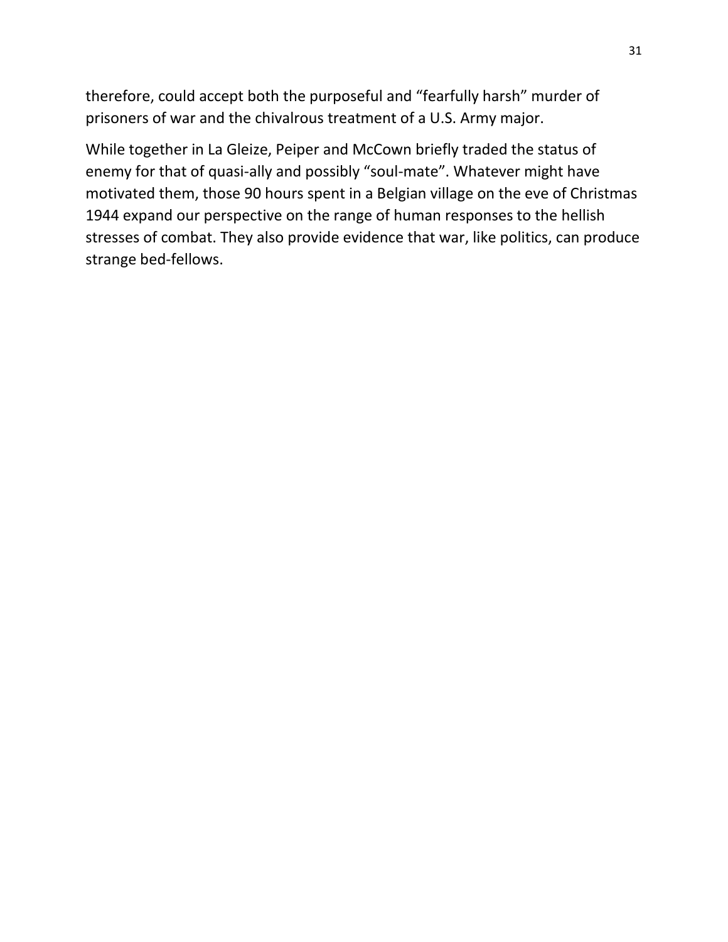therefore, could accept both the purposeful and "fearfully harsh" murder of prisoners of war and the chivalrous treatment of a U.S. Army major.

While together in La Gleize, Peiper and McCown briefly traded the status of enemy for that of quasi-ally and possibly "soul-mate". Whatever might have motivated them, those 90 hours spent in a Belgian village on the eve of Christmas 1944 expand our perspective on the range of human responses to the hellish stresses of combat. They also provide evidence that war, like politics, can produce strange bed-fellows.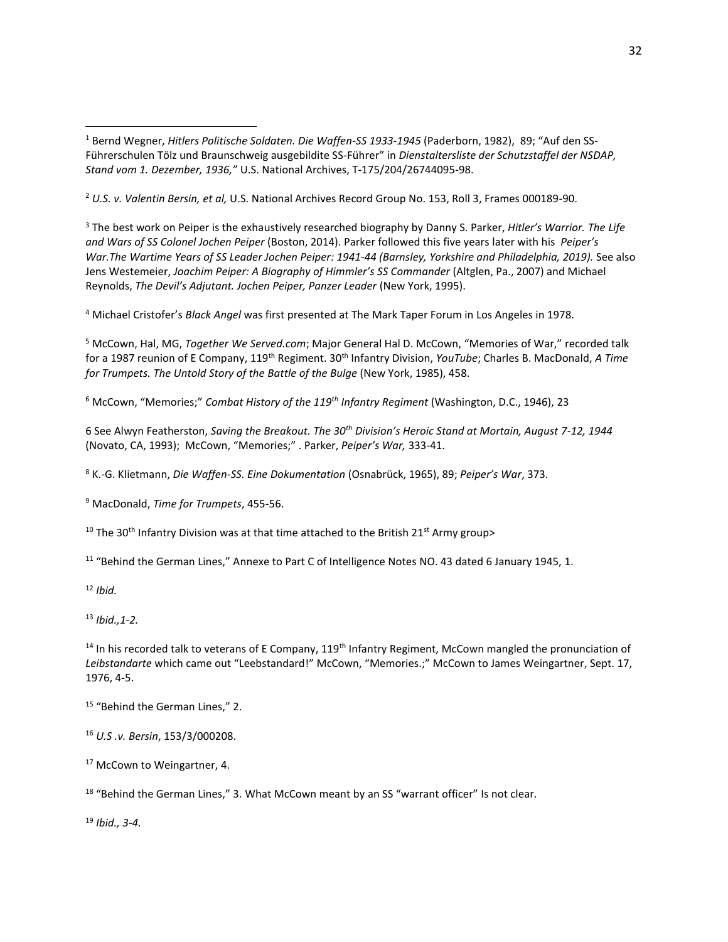<sup>2</sup> *U.S. v. Valentin Bersin, et al,* U.S. National Archives Record Group No. 153, Roll 3, Frames 000189-90.

<sup>3</sup> The best work on Peiper is the exhaustively researched biography by Danny S. Parker, *Hitler's Warrior. The Life and Wars of SS Colonel Jochen Peiper* (Boston, 2014). Parker followed this five years later with his *Peiper's War.The Wartime Years of SS Leader Jochen Peiper: 1941-44 (Barnsley, Yorkshire and Philadelphia, 2019).* See also Jens Westemeier, *Joachim Peiper: A Biography of Himmler's SS Commander* (Altglen, Pa., 2007) and Michael Reynolds, *The Devil's Adjutant. Jochen Peiper, Panzer Leader* (New York, 1995).

<sup>4</sup> Michael Cristofer's *Black Angel* was first presented at The Mark Taper Forum in Los Angeles in 1978.

<sup>5</sup> McCown, Hal, MG, *Together We Served.com*; Major General Hal D. McCown, "Memories of War," recorded talk for a 1987 reunion of E Company, 119th Regiment. 30th Infantry Division, *YouTube*; Charles B. MacDonald, *A Time for Trumpets. The Untold Story of the Battle of the Bulge* (New York, 1985), 458.

<sup>6</sup> McCown, "Memories;" *Combat History of the 119th Infantry Regiment* (Washington, D.C., 1946), 23

6 See Alwyn Featherston, *Saving the Breakout. The 30th Division's Heroic Stand at Mortain, August 7-12, 1944* (Novato, CA, 1993); McCown, "Memories;" . Parker, *Peiper's War,* 333-41.

<sup>8</sup> K.-G. Klietmann, *Die Waffen-SS. Eine Dokumentation* (Osnabrück, 1965), 89; *Peiper's War*, 373.

<sup>9</sup> MacDonald, *Time for Trumpets*, 455-56.

<sup>10</sup> The 30<sup>th</sup> Infantry Division was at that time attached to the British 21<sup>st</sup> Army group>

<sup>11</sup> "Behind the German Lines," Annexe to Part C of Intelligence Notes NO. 43 dated 6 January 1945, 1.

<sup>12</sup> *Ibid.*

<sup>13</sup> *Ibid.,1-2.*

<sup>14</sup> In his recorded talk to veterans of E Company, 119<sup>th</sup> Infantry Regiment, McCown mangled the pronunciation of *Leibstandarte* which came out "Leebstandard!" McCown, "Memories.;" McCown to James Weingartner, Sept. 17, 1976, 4-5.

<sup>15</sup> "Behind the German Lines," 2.

<sup>16</sup> *U.S .v. Bersin*, 153/3/000208.

<sup>17</sup> McCown to Weingartner, 4.

<sup>18</sup> "Behind the German Lines," 3. What McCown meant by an SS "warrant officer" Is not clear.

<sup>19</sup> *Ibid., 3-4.*

<sup>1</sup> Bernd Wegner, *Hitlers Politische Soldaten. Die Waffen-SS 1933-1945* (Paderborn, 1982), 89; "Auf den SS-Führerschulen Tölz und Braunschweig ausgebildite SS-Führer" in *Dienstaltersliste der Schutzstaffel der NSDAP, Stand vom 1. Dezember, 1936,"* U.S. National Archives, T-175/204/26744095-98.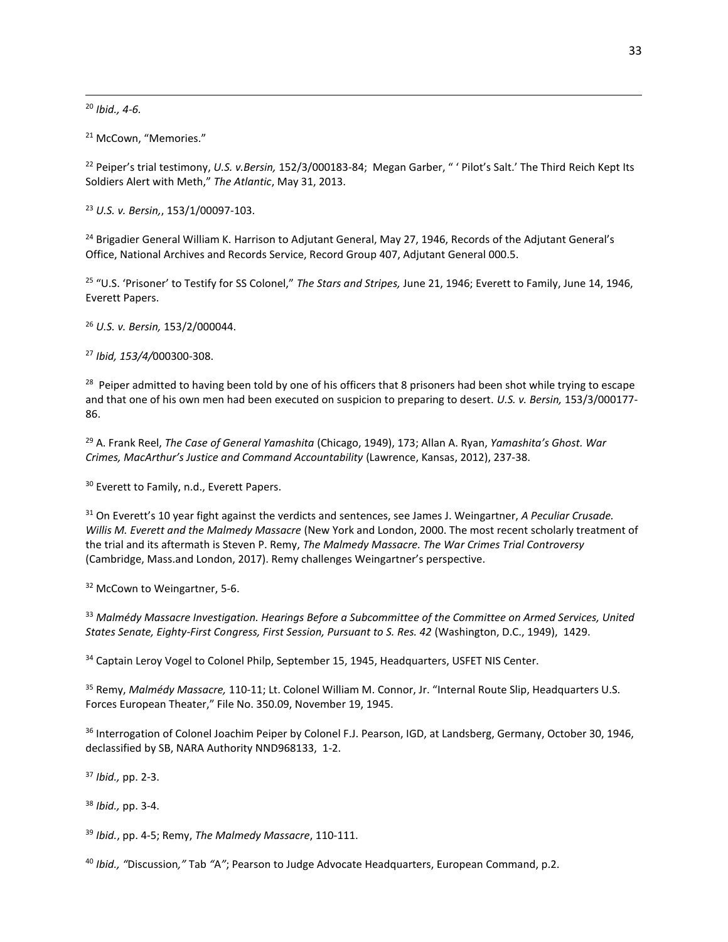<sup>20</sup> *Ibid., 4-6.*

<sup>21</sup> McCown, "Memories."

<sup>22</sup> Peiper's trial testimony, *U.S. v.Bersin,* 152/3/000183-84; Megan Garber, " ' Pilot's Salt.' The Third Reich Kept Its Soldiers Alert with Meth," *The Atlantic*, May 31, 2013.

<sup>23</sup> *U.S. v. Bersin,*, 153/1/00097-103.

<sup>24</sup> Brigadier General William K. Harrison to Adjutant General, May 27, 1946, Records of the Adjutant General's Office, National Archives and Records Service, Record Group 407, Adjutant General 000.5.

<sup>25</sup> "U.S. 'Prisoner' to Testify for SS Colonel," *The Stars and Stripes,* June 21, 1946; Everett to Family, June 14, 1946, Everett Papers.

<sup>26</sup> *U.S. v. Bersin,* 153/2/000044.

<sup>27</sup> *Ibid, 153/4/*000300-308.

<sup>28</sup> Peiper admitted to having been told by one of his officers that 8 prisoners had been shot while trying to escape and that one of his own men had been executed on suspicion to preparing to desert. *U.S. v. Bersin,* 153/3/000177- 86.

<sup>29</sup> A. Frank Reel, *The Case of General Yamashita* (Chicago, 1949), 173; Allan A. Ryan, *Yamashita's Ghost. War Crimes, MacArthur's Justice and Command Accountability* (Lawrence, Kansas, 2012), 237-38.

<sup>30</sup> Everett to Family, n.d., Everett Papers.

<sup>31</sup> On Everett's 10 year fight against the verdicts and sentences, see James J. Weingartner, *A Peculiar Crusade. Willis M. Everett and the Malmedy Massacre* (New York and London, 2000. The most recent scholarly treatment of the trial and its aftermath is Steven P. Remy, *The Malmedy Massacre. The War Crimes Trial Controversy*  (Cambridge, Mass.and London, 2017). Remy challenges Weingartner's perspective.

<sup>32</sup> McCown to Weingartner, 5-6.

<sup>33</sup> *Malmédy Massacre Investigation. Hearings Before a Subcommittee of the Committee on Armed Services, United States Senate, Eighty-First Congress, First Session, Pursuant to S. Res. 42* (Washington, D.C., 1949), 1429.

<sup>34</sup> Captain Leroy Vogel to Colonel Philp, September 15, 1945, Headquarters, USFET NIS Center.

<sup>35</sup> Remy, *Malmédy Massacre,* 110-11; Lt. Colonel William M. Connor, Jr. "Internal Route Slip, Headquarters U.S. Forces European Theater," File No. 350.09, November 19, 1945.

<sup>36</sup> Interrogation of Colonel Joachim Peiper by Colonel F.J. Pearson, IGD, at Landsberg, Germany, October 30, 1946, declassified by SB, NARA Authority NND968133, 1-2.

<sup>37</sup> *Ibid.,* pp. 2-3.

<sup>38</sup> *Ibid.,* pp. 3-4.

<sup>39</sup> *Ibid.*, pp. 4-5; Remy, *The Malmedy Massacre*, 110-111.

<sup>40</sup> *Ibid., "*Discussion*,"* Tab *"*A*"*; Pearson to Judge Advocate Headquarters, European Command, p.2.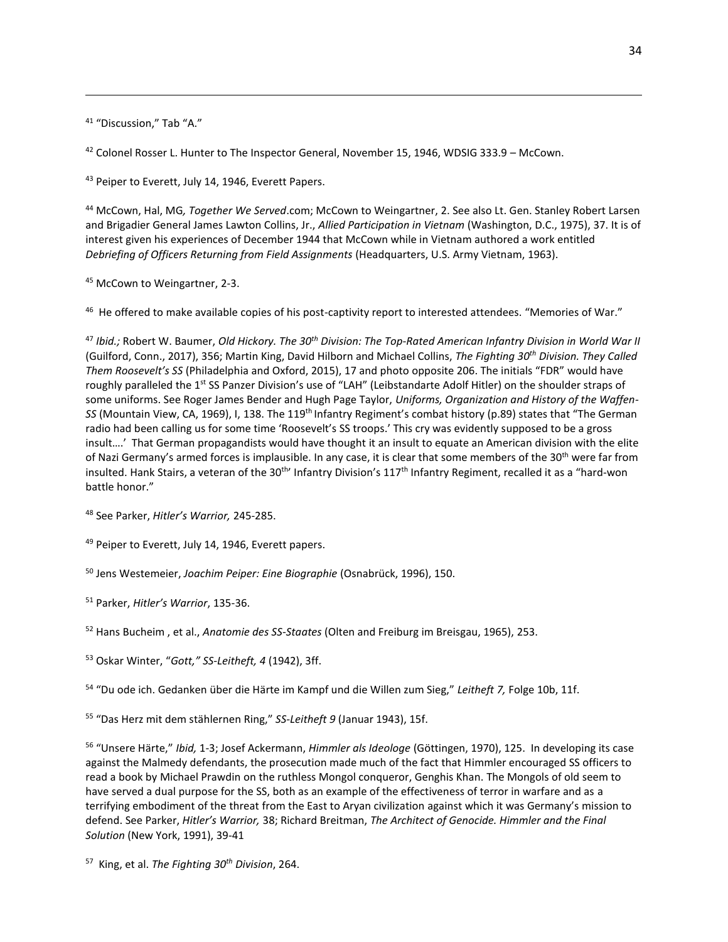<sup>41</sup> "Discussion," Tab "A."

<sup>42</sup> Colonel Rosser L. Hunter to The Inspector General, November 15, 1946, WDSIG 333.9 - McCown.

<sup>43</sup> Peiper to Everett, July 14, 1946, Everett Papers.

<sup>44</sup> McCown, Hal, MG*, Together We Served*.com; McCown to Weingartner, 2. See also Lt. Gen. Stanley Robert Larsen and Brigadier General James Lawton Collins, Jr., *Allied Participation in Vietnam* (Washington, D.C., 1975), 37. It is of interest given his experiences of December 1944 that McCown while in Vietnam authored a work entitled *Debriefing of Officers Returning from Field Assignments* (Headquarters, U.S. Army Vietnam, 1963).

<sup>45</sup> McCown to Weingartner, 2-3.

<sup>46</sup> He offered to make available copies of his post-captivity report to interested attendees. "Memories of War."

<sup>47</sup> *Ibid.;* Robert W. Baumer, *Old Hickory. The 30th Division: The Top-Rated American Infantry Division in World War II* (Guilford, Conn., 2017), 356; Martin King, David Hilborn and Michael Collins, *The Fighting 30th Division. They Called Them Roosevelt's SS* (Philadelphia and Oxford, 2015), 17 and photo opposite 206. The initials "FDR" would have roughly paralleled the 1<sup>st</sup> SS Panzer Division's use of "LAH" (Leibstandarte Adolf Hitler) on the shoulder straps of some uniforms. See Roger James Bender and Hugh Page Taylor, *Uniforms, Organization and History of the Waffen-SS* (Mountain View, CA, 1969), I, 138. The 119th Infantry Regiment's combat history (p.89) states that "The German radio had been calling us for some time 'Roosevelt's SS troops.' This cry was evidently supposed to be a gross insult….' That German propagandists would have thought it an insult to equate an American division with the elite of Nazi Germany's armed forces is implausible. In any case, it is clear that some members of the 30<sup>th</sup> were far from insulted. Hank Stairs, a veteran of the 30<sup>th</sup>' Infantry Division's 117<sup>th</sup> Infantry Regiment, recalled it as a "hard-won battle honor."

<sup>48</sup> See Parker, *Hitler's Warrior,* 245-285.

49 Peiper to Everett, July 14, 1946, Everett papers.

<sup>50</sup> Jens Westemeier, *Joachim Peiper: Eine Biographie* (Osnabrück, 1996), 150.

<sup>51</sup> Parker, *Hitler's Warrior*, 135-36.

<sup>52</sup> Hans Bucheim , et al., *Anatomie des SS-Staates* (Olten and Freiburg im Breisgau, 1965), 253.

<sup>53</sup> Oskar Winter, "*Gott," SS-Leitheft, 4* (1942), 3ff.

<sup>54</sup> "Du ode ich. Gedanken über die Härte im Kampf und die Willen zum Sieg," *Leitheft 7,* Folge 10b, 11f.

<sup>55</sup> "Das Herz mit dem stählernen Ring," *SS-Leitheft 9* (Januar 1943), 15f.

<sup>56</sup> "Unsere Härte," *Ibid,* 1-3; Josef Ackermann, *Himmler als Ideologe* (Göttingen, 1970), 125. In developing its case against the Malmedy defendants, the prosecution made much of the fact that Himmler encouraged SS officers to read a book by Michael Prawdin on the ruthless Mongol conqueror, Genghis Khan. The Mongols of old seem to have served a dual purpose for the SS, both as an example of the effectiveness of terror in warfare and as a terrifying embodiment of the threat from the East to Aryan civilization against which it was Germany's mission to defend. See Parker, *Hitler's Warrior,* 38; Richard Breitman, *The Architect of Genocide. Himmler and the Final Solution* (New York, 1991), 39-41

<sup>57</sup> King, et al. *The Fighting 30th Division*, 264.